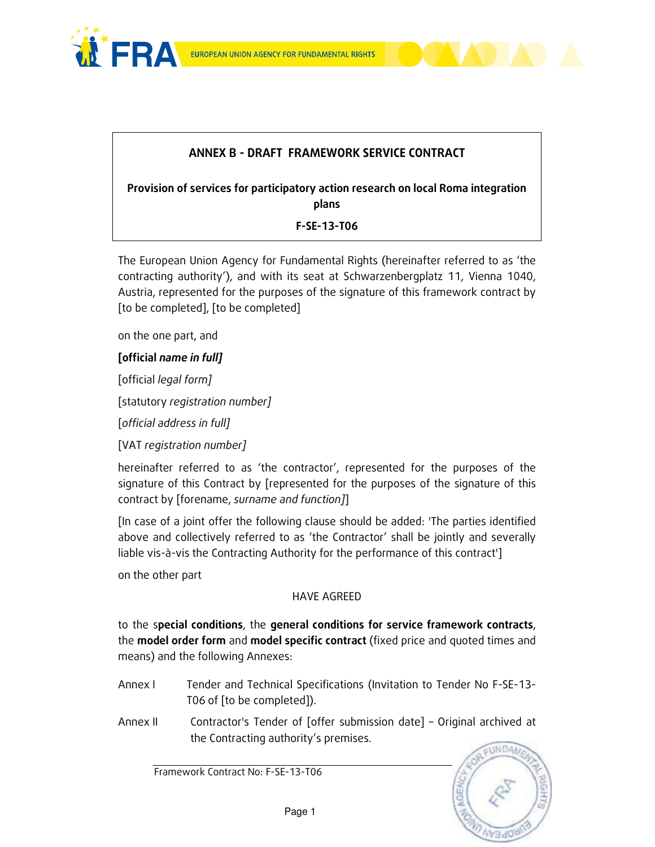



### ANNEX B - DRAFT FRAMEWORK SERVICE CONTRACT

Provision of services for participatory action research on local Roma integration plans

F-SE-13-T06

The European Union Agency for Fundamental Rights (hereinafter referred to as 'the contracting authority'), and with its seat at Schwarzenbergplatz 11, Vienna 1040, Austria, represented for the purposes of the signature of this framework contract by [to be completed], [to be completed]

on the one part, and

#### [official name in full]

[official legal form]

[statutory registration number]

[official address in full]

[VAT registration number]

hereinafter referred to as 'the contractor', represented for the purposes of the signature of this Contract by [represented for the purposes of the signature of this contract by [forename, surname and function]]

[In case of a joint offer the following clause should be added: 'The parties identified above and collectively referred to as 'the Contractor' shall be jointly and severally liable vis-à-vis the Contracting Authority for the performance of this contract']

on the other part

#### HAVE AGREED

to the special conditions, the general conditions for service framework contracts, the model order form and model specific contract (fixed price and quoted times and means) and the following Annexes:

- Annex I Tender and Technical Specifications (Invitation to Tender No F-SE-13-T06 of [to be completed]).
- Annex II Contractor's Tender of [offer submission date] Original archived at the Contracting authority's premises.

**INDA**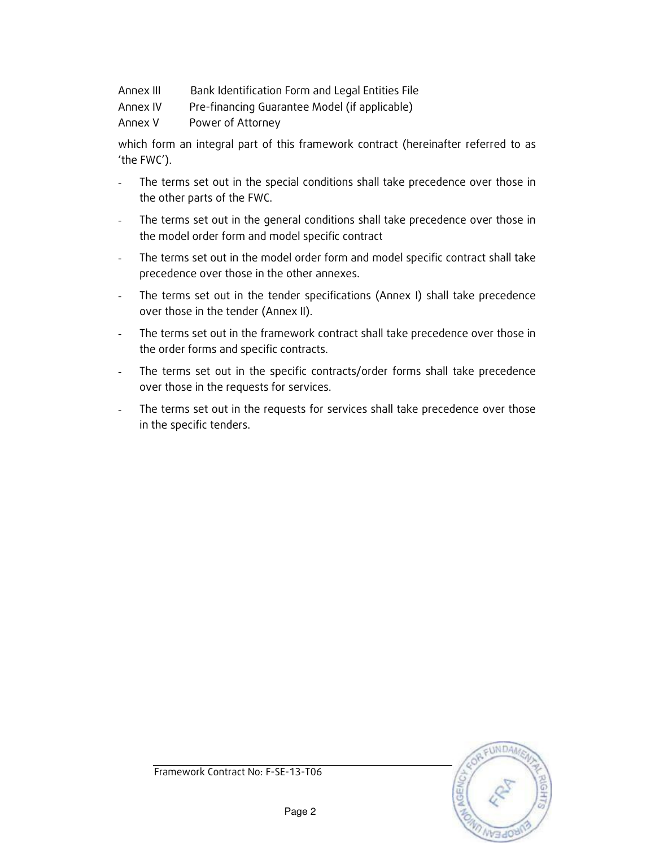- Annex III Bank Identification Form and Legal Entities File
- Annex IV Pre-financing Guarantee Model (if applicable)

Annex V Power of Attorney

which form an integral part of this framework contract (hereinafter referred to as 'the FWC').

- The terms set out in the special conditions shall take precedence over those in the other parts of the FWC.
- The terms set out in the general conditions shall take precedence over those in the model order form and model specific contract
- The terms set out in the model order form and model specific contract shall take precedence over those in the other annexes.
- The terms set out in the tender specifications (Annex I) shall take precedence over those in the tender (Annex II).
- The terms set out in the framework contract shall take precedence over those in the order forms and specific contracts.
- The terms set out in the specific contracts/order forms shall take precedence over those in the requests for services.
- The terms set out in the requests for services shall take precedence over those in the specific tenders.

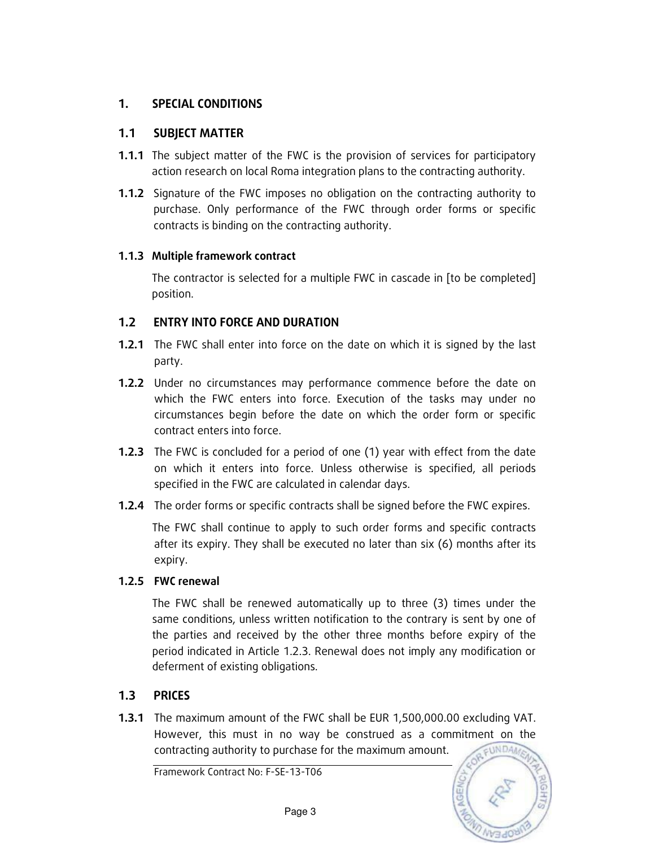### 1. SPECIAL CONDITIONS

#### 1.1 SUBJECT MATTER

- **1.1.1** The subject matter of the FWC is the provision of services for participatory action research on local Roma integration plans to the contracting authority.
- **1.1.2** Signature of the FWC imposes no obligation on the contracting authority to purchase. Only performance of the FWC through order forms or specific contracts is binding on the contracting authority.

#### 1.1.3 Multiple framework contract

The contractor is selected for a multiple FWC in cascade in [to be completed] position.

### 1.2 ENTRY INTO FORCE AND DURATION

- **1.2.1** The FWC shall enter into force on the date on which it is signed by the last party.
- 1.2.2 Under no circumstances may performance commence before the date on which the FWC enters into force. Execution of the tasks may under no circumstances begin before the date on which the order form or specific contract enters into force.
- **1.2.3** The FWC is concluded for a period of one (1) year with effect from the date on which it enters into force. Unless otherwise is specified, all periods specified in the FWC are calculated in calendar days.
- **1.2.4** The order forms or specific contracts shall be signed before the FWC expires.

The FWC shall continue to apply to such order forms and specific contracts after its expiry. They shall be executed no later than six (6) months after its expiry.

#### 1.2.5 FWC renewal

The FWC shall be renewed automatically up to three (3) times under the same conditions, unless written notification to the contrary is sent by one of the parties and received by the other three months before expiry of the period indicated in Article 1.2.3. Renewal does not imply any modification or deferment of existing obligations.

### 1.3 PRICES

1.3.1 The maximum amount of the FWC shall be EUR 1,500,000.00 excluding VAT. However, this must in no way be construed as a commitment on the contracting authority to purchase for the maximum amount. EUNDA/

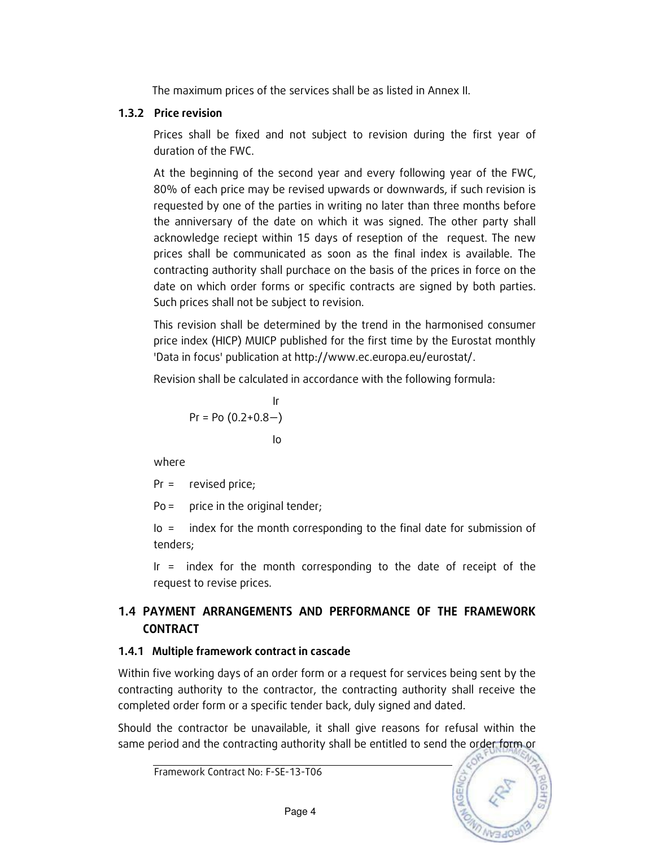The maximum prices of the services shall be as listed in Annex II.

### 1.3.2 Price revision

Prices shall be fixed and not subject to revision during the first year of duration of the FWC.

At the beginning of the second year and every following year of the FWC, 80% of each price may be revised upwards or downwards, if such revision is requested by one of the parties in writing no later than three months before the anniversary of the date on which it was signed. The other party shall acknowledge reciept within 15 days of reseption of the request. The new prices shall be communicated as soon as the final index is available. The contracting authority shall purchace on the basis of the prices in force on the date on which order forms or specific contracts are signed by both parties. Such prices shall not be subject to revision.

This revision shall be determined by the trend in the harmonised consumer price index (HICP) MUICP published for the first time by the Eurostat monthly 'Data in focus' publication at http://www.ec.europa.eu/eurostat/.

Revision shall be calculated in accordance with the following formula:

$$
Pr = Po (0.2 + 0.8 -)
$$
  
lo

where

Pr = revised price;

 $Po =$  price in the original tender;

Io = index for the month corresponding to the final date for submission of tenders;

 Ir = index for the month corresponding to the date of receipt of the request to revise prices.

### 1.4 PAYMENT ARRANGEMENTS AND PERFORMANCE OF THE FRAMEWORK **CONTRACT**

### 1.4.1 Multiple framework contract in cascade

Within five working days of an order form or a request for services being sent by the contracting authority to the contractor, the contracting authority shall receive the completed order form or a specific tender back, duly signed and dated.

Should the contractor be unavailable, it shall give reasons for refusal within the same period and the contracting authority shall be entitled to send the order form or

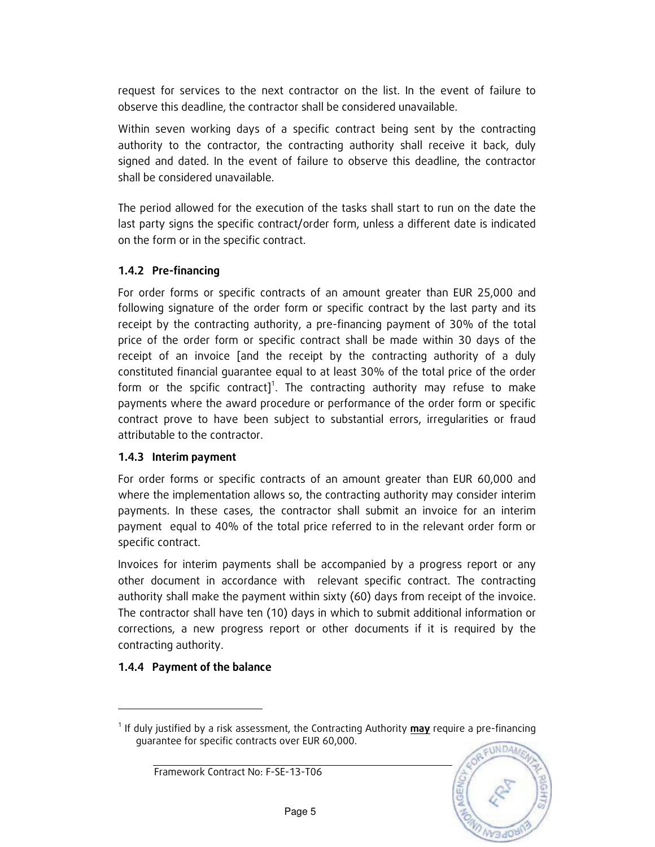request for services to the next contractor on the list. In the event of failure to observe this deadline, the contractor shall be considered unavailable.

Within seven working days of a specific contract being sent by the contracting authority to the contractor, the contracting authority shall receive it back, duly signed and dated. In the event of failure to observe this deadline, the contractor shall be considered unavailable.

The period allowed for the execution of the tasks shall start to run on the date the last party signs the specific contract/order form, unless a different date is indicated on the form or in the specific contract.

### 1.4.2 Pre-financing

For order forms or specific contracts of an amount greater than EUR 25,000 and following signature of the order form or specific contract by the last party and its receipt by the contracting authority, a pre-financing payment of 30% of the total price of the order form or specific contract shall be made within 30 days of the receipt of an invoice [and the receipt by the contracting authority of a duly constituted financial guarantee equal to at least 30% of the total price of the order form or the spcific contract]<sup>1</sup>. The contracting authority may refuse to make payments where the award procedure or performance of the order form or specific contract prove to have been subject to substantial errors, irregularities or fraud attributable to the contractor.

#### 1.4.3 Interim payment

For order forms or specific contracts of an amount greater than EUR 60,000 and where the implementation allows so, the contracting authority may consider interim payments. In these cases, the contractor shall submit an invoice for an interim payment equal to 40% of the total price referred to in the relevant order form or specific contract.

Invoices for interim payments shall be accompanied by a progress report or any other document in accordance with relevant specific contract. The contracting authority shall make the payment within sixty (60) days from receipt of the invoice. The contractor shall have ten (10) days in which to submit additional information or corrections, a new progress report or other documents if it is required by the contracting authority.

### 1.4.4 Payment of the balance

-

<sup>&</sup>lt;sup>1</sup> If duly justified by a risk assessment, the Contracting Authority **may** require a pre-financing guarantee for specific contracts over EUR 60,000.

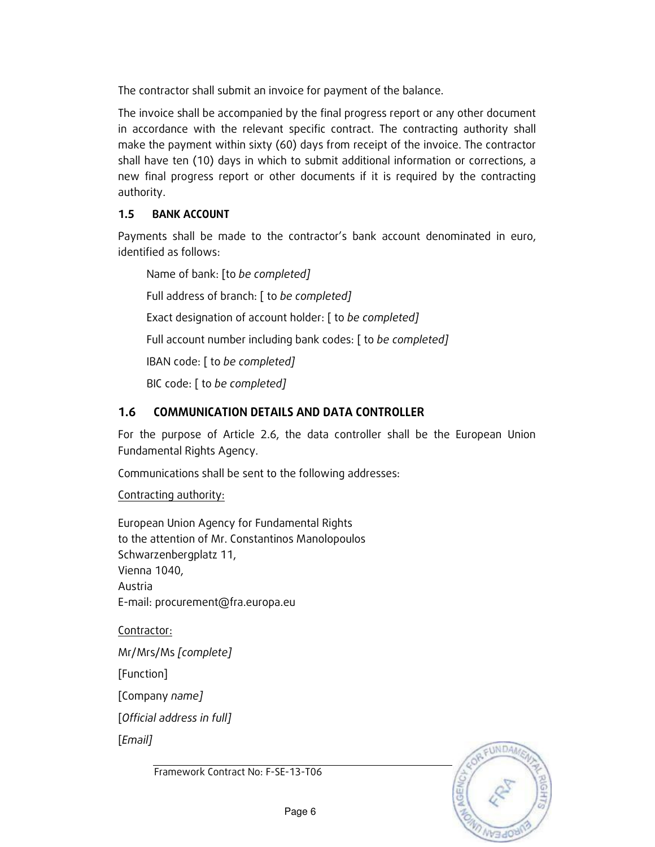The contractor shall submit an invoice for payment of the balance.

The invoice shall be accompanied by the final progress report or any other document in accordance with the relevant specific contract. The contracting authority shall make the payment within sixty (60) days from receipt of the invoice. The contractor shall have ten (10) days in which to submit additional information or corrections, a new final progress report or other documents if it is required by the contracting authority.

#### 1.5 BANK ACCOUNT

Payments shall be made to the contractor's bank account denominated in euro, identified as follows:

Name of bank: [to be completed] Full address of branch: [ to be completed] Exact designation of account holder: [ to be completed] Full account number including bank codes: [ to be completed] IBAN code: [ to be completed] BIC code: [ to be completed]

### 1.6 COMMUNICATION DETAILS AND DATA CONTROLLER

For the purpose of Article 2.6, the data controller shall be the European Union Fundamental Rights Agency.

Communications shall be sent to the following addresses:

Contracting authority:

European Union Agency for Fundamental Rights to the attention of Mr. Constantinos Manolopoulos Schwarzenbergplatz 11, Vienna 1040, Austria E-mail: procurement@fra.europa.eu

Contractor:

Mr/Mrs/Ms [complete]

[Function]

[Company name]

[Official address in full]

[Email]

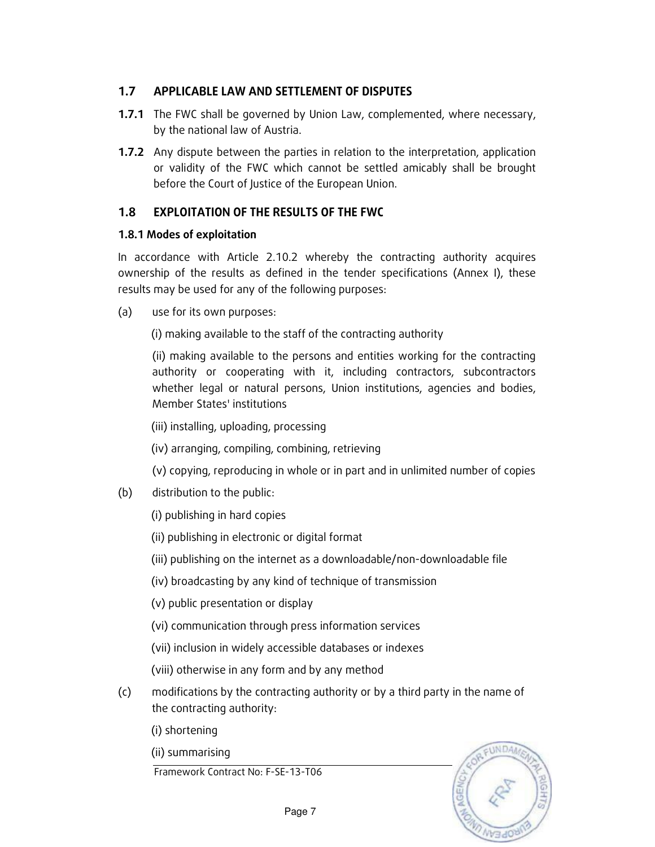### 1.7 APPLICABLE LAW AND SETTLEMENT OF DISPUTES

- 1.7.1 The FWC shall be governed by Union Law, complemented, where necessary, by the national law of Austria.
- 1.7.2 Any dispute between the parties in relation to the interpretation, application or validity of the FWC which cannot be settled amicably shall be brought before the Court of Justice of the European Union.

#### 1.8 EXPLOITATION OF THE RESULTS OF THE FWC

#### 1.8.1 Modes of exploitation

In accordance with Article 2.10.2 whereby the contracting authority acquires ownership of the results as defined in the tender specifications (Annex I), these results may be used for any of the following purposes:

(a) use for its own purposes:

(i) making available to the staff of the contracting authority

(ii) making available to the persons and entities working for the contracting authority or cooperating with it, including contractors, subcontractors whether legal or natural persons, Union institutions, agencies and bodies, Member States' institutions

(iii) installing, uploading, processing

(iv) arranging, compiling, combining, retrieving

- (v) copying, reproducing in whole or in part and in unlimited number of copies
- (b) distribution to the public:

(i) publishing in hard copies

(ii) publishing in electronic or digital format

- (iii) publishing on the internet as a downloadable/non-downloadable file
- (iv) broadcasting by any kind of technique of transmission

(v) public presentation or display

(vi) communication through press information services

(vii) inclusion in widely accessible databases or indexes

(viii) otherwise in any form and by any method

(c) modifications by the contracting authority or by a third party in the name of the contracting authority:

(i) shortening

(ii) summarising

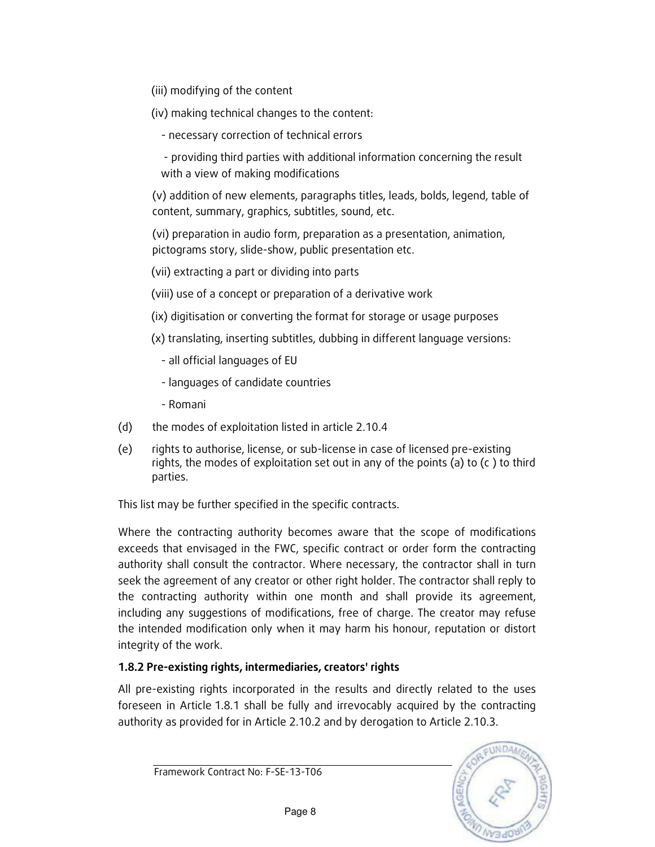- (iii) modifying of the content
- (iv) making technical changes to the content:
	- necessary correction of technical errors

 - providing third parties with additional information concerning the result with a view of making modifications

(v) addition of new elements, paragraphs titles, leads, bolds, legend, table of content, summary, graphics, subtitles, sound, etc.

(vi) preparation in audio form, preparation as a presentation, animation, pictograms story, slide-show, public presentation etc.

- (vii) extracting a part or dividing into parts
- (viii) use of a concept or preparation of a derivative work
- (ix) digitisation or converting the format for storage or usage purposes
- (x) translating, inserting subtitles, dubbing in different language versions:
	- all official languages of EU
	- languages of candidate countries
	- Romani
- (d) the modes of exploitation listed in article 2.10.4
- (e) rights to authorise, license, or sub-license in case of licensed pre-existing rights, the modes of exploitation set out in any of the points (a) to (c ) to third parties.

This list may be further specified in the specific contracts.

Where the contracting authority becomes aware that the scope of modifications exceeds that envisaged in the FWC, specific contract or order form the contracting authority shall consult the contractor. Where necessary, the contractor shall in turn seek the agreement of any creator or other right holder. The contractor shall reply to the contracting authority within one month and shall provide its agreement, including any suggestions of modifications, free of charge. The creator may refuse the intended modification only when it may harm his honour, reputation or distort integrity of the work.

### 1.8.2 Pre-existing rights, intermediaries, creators' rights

All pre-existing rights incorporated in the results and directly related to the uses foreseen in Article 1.8.1 shall be fully and irrevocably acquired by the contracting authority as provided for in Article 2.10.2 and by derogation to Article 2.10.3.

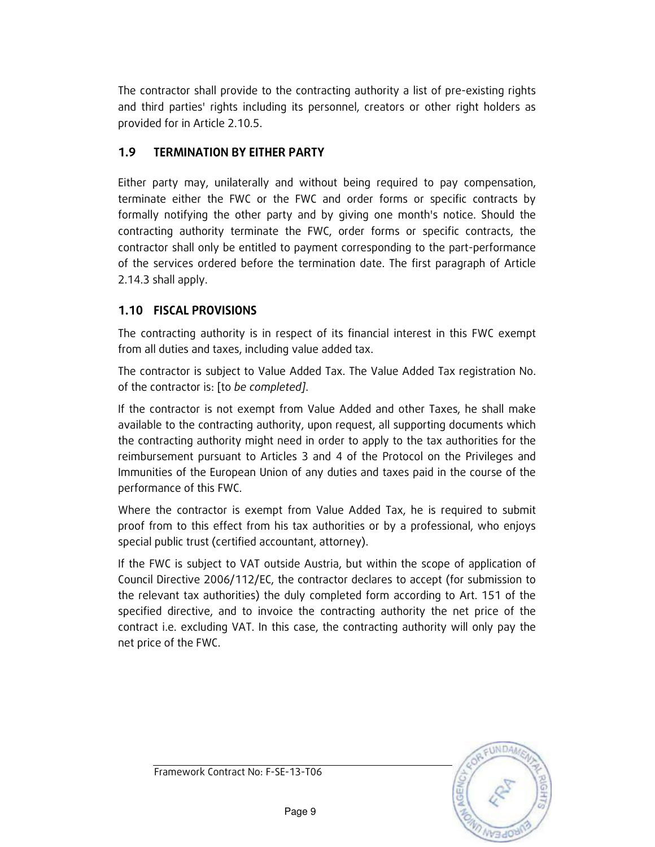The contractor shall provide to the contracting authority a list of pre-existing rights and third parties' rights including its personnel, creators or other right holders as provided for in Article 2.10.5.

### 1.9 TERMINATION BY EITHER PARTY

Either party may, unilaterally and without being required to pay compensation, terminate either the FWC or the FWC and order forms or specific contracts by formally notifying the other party and by giving one month's notice. Should the contracting authority terminate the FWC, order forms or specific contracts, the contractor shall only be entitled to payment corresponding to the part-performance of the services ordered before the termination date. The first paragraph of Article 2.14.3 shall apply.

### 1.10 FISCAL PROVISIONS

The contracting authority is in respect of its financial interest in this FWC exempt from all duties and taxes, including value added tax.

The contractor is subject to Value Added Tax. The Value Added Tax registration No. of the contractor is: [to be completed].

If the contractor is not exempt from Value Added and other Taxes, he shall make available to the contracting authority, upon request, all supporting documents which the contracting authority might need in order to apply to the tax authorities for the reimbursement pursuant to Articles 3 and 4 of the Protocol on the Privileges and Immunities of the European Union of any duties and taxes paid in the course of the performance of this FWC.

Where the contractor is exempt from Value Added Tax, he is required to submit proof from to this effect from his tax authorities or by a professional, who enjoys special public trust (certified accountant, attorney).

If the FWC is subject to VAT outside Austria, but within the scope of application of Council Directive 2006/112/EC, the contractor declares to accept (for submission to the relevant tax authorities) the duly completed form according to Art. 151 of the specified directive, and to invoice the contracting authority the net price of the contract i.e. excluding VAT. In this case, the contracting authority will only pay the net price of the FWC.

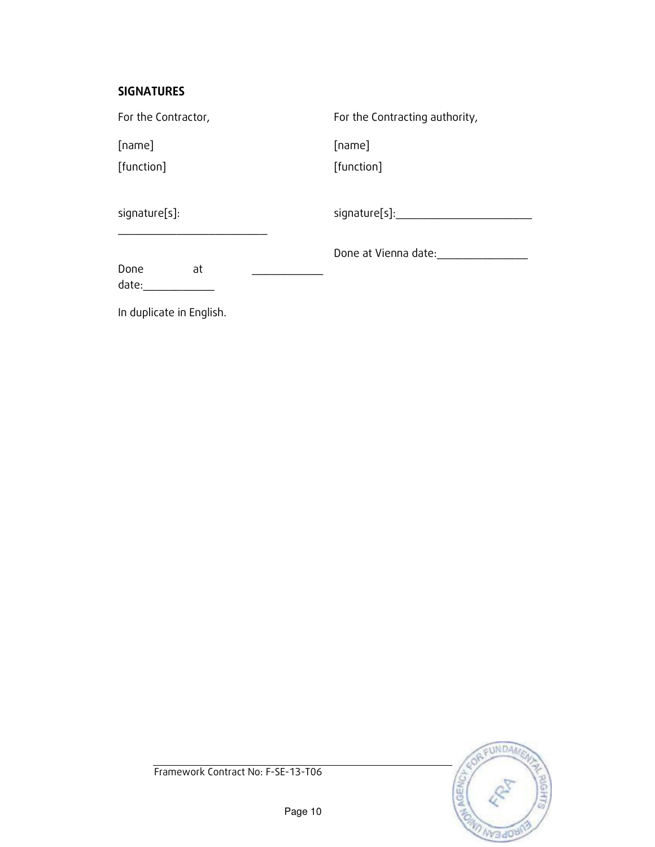### SIGNATURES

In duplicate in English.

| For the Contractor, |    | For the Contracting authority, |
|---------------------|----|--------------------------------|
| [name]              |    | [name]                         |
| [function]          |    | [function]                     |
| signature[s]:       |    | signature[s]:                  |
| Done<br>date:       | at | Done at Vienna date:           |

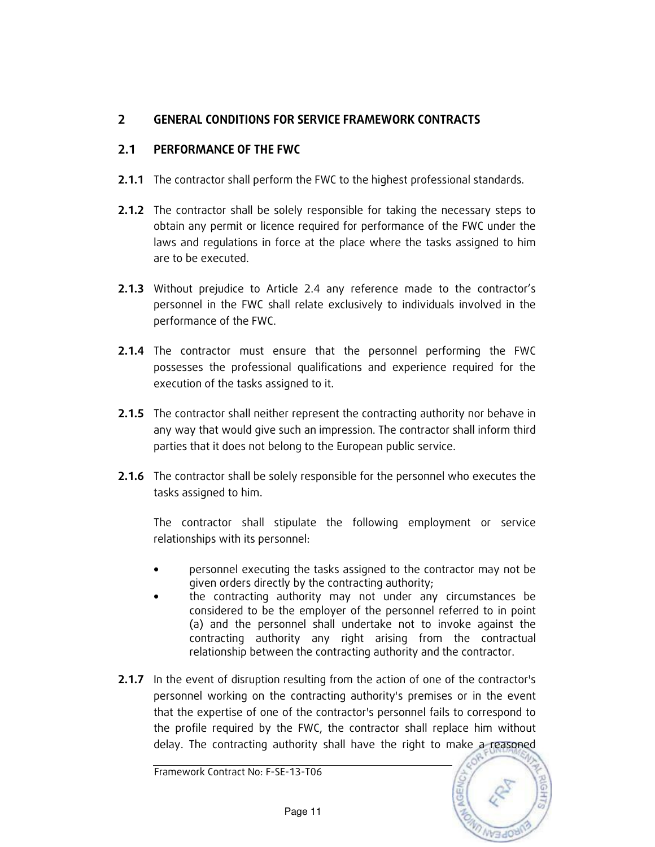### 2 GENERAL CONDITIONS FOR SERVICE FRAMEWORK CONTRACTS

### 2.1 PERFORMANCE OF THE FWC

- 2.1.1 The contractor shall perform the FWC to the highest professional standards.
- **2.1.2** The contractor shall be solely responsible for taking the necessary steps to obtain any permit or licence required for performance of the FWC under the laws and regulations in force at the place where the tasks assigned to him are to be executed.
- 2.1.3 Without prejudice to Article 2.4 any reference made to the contractor's personnel in the FWC shall relate exclusively to individuals involved in the performance of the FWC.
- **2.1.4** The contractor must ensure that the personnel performing the FWC possesses the professional qualifications and experience required for the execution of the tasks assigned to it.
- **2.1.5** The contractor shall neither represent the contracting authority nor behave in any way that would give such an impression. The contractor shall inform third parties that it does not belong to the European public service.
- **2.1.6** The contractor shall be solely responsible for the personnel who executes the tasks assigned to him.

The contractor shall stipulate the following employment or service relationships with its personnel:

- personnel executing the tasks assigned to the contractor may not be given orders directly by the contracting authority;
- the contracting authority may not under any circumstances be considered to be the employer of the personnel referred to in point (a) and the personnel shall undertake not to invoke against the contracting authority any right arising from the contractual relationship between the contracting authority and the contractor.
- **2.1.7** In the event of disruption resulting from the action of one of the contractor's personnel working on the contracting authority's premises or in the event that the expertise of one of the contractor's personnel fails to correspond to the profile required by the FWC, the contractor shall replace him without delay. The contracting authority shall have the right to make a reasoned

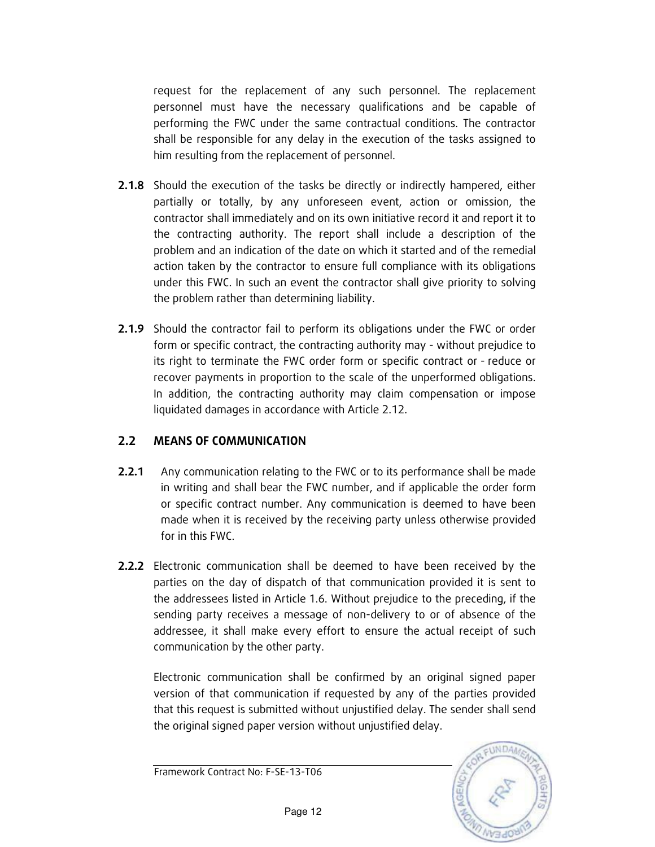request for the replacement of any such personnel. The replacement personnel must have the necessary qualifications and be capable of performing the FWC under the same contractual conditions. The contractor shall be responsible for any delay in the execution of the tasks assigned to him resulting from the replacement of personnel.

- **2.1.8** Should the execution of the tasks be directly or indirectly hampered, either partially or totally, by any unforeseen event, action or omission, the contractor shall immediately and on its own initiative record it and report it to the contracting authority. The report shall include a description of the problem and an indication of the date on which it started and of the remedial action taken by the contractor to ensure full compliance with its obligations under this FWC. In such an event the contractor shall give priority to solving the problem rather than determining liability.
- 2.1.9 Should the contractor fail to perform its obligations under the FWC or order form or specific contract, the contracting authority may - without prejudice to its right to terminate the FWC order form or specific contract or - reduce or recover payments in proportion to the scale of the unperformed obligations. In addition, the contracting authority may claim compensation or impose liquidated damages in accordance with Article 2.12.

#### 2.2 MEANS OF COMMUNICATION

- **2.2.1** Any communication relating to the FWC or to its performance shall be made in writing and shall bear the FWC number, and if applicable the order form or specific contract number. Any communication is deemed to have been made when it is received by the receiving party unless otherwise provided for in this FWC.
- 2.2.2 Electronic communication shall be deemed to have been received by the parties on the day of dispatch of that communication provided it is sent to the addressees listed in Article 1.6. Without prejudice to the preceding, if the sending party receives a message of non-delivery to or of absence of the addressee, it shall make every effort to ensure the actual receipt of such communication by the other party.

Electronic communication shall be confirmed by an original signed paper version of that communication if requested by any of the parties provided that this request is submitted without unjustified delay. The sender shall send the original signed paper version without unjustified delay.

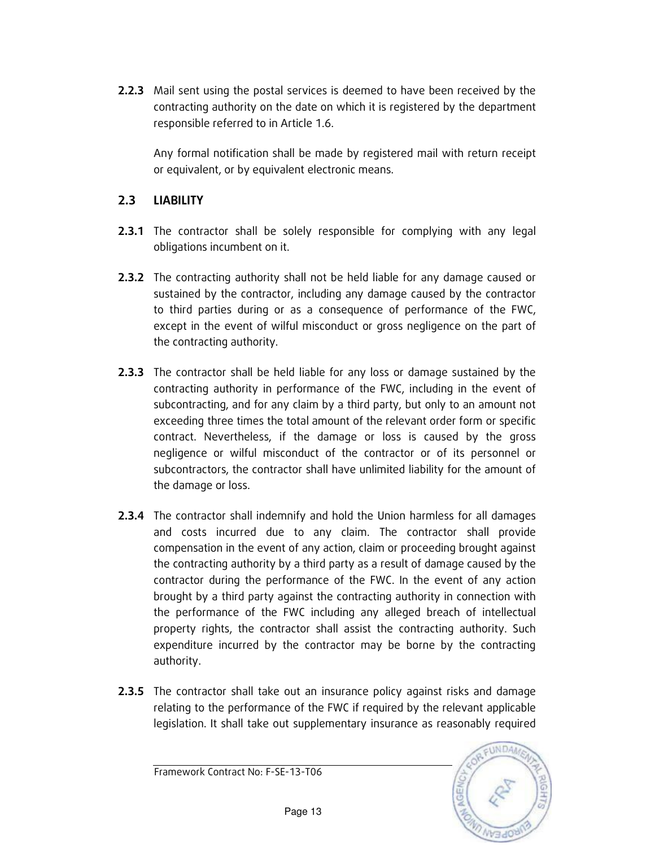**2.2.3** Mail sent using the postal services is deemed to have been received by the contracting authority on the date on which it is registered by the department responsible referred to in Article 1.6.

Any formal notification shall be made by registered mail with return receipt or equivalent, or by equivalent electronic means.

### 2.3 LIABILITY

- **2.3.1** The contractor shall be solely responsible for complying with any legal obligations incumbent on it.
- **2.3.2** The contracting authority shall not be held liable for any damage caused or sustained by the contractor, including any damage caused by the contractor to third parties during or as a consequence of performance of the FWC, except in the event of wilful misconduct or gross negligence on the part of the contracting authority.
- **2.3.3** The contractor shall be held liable for any loss or damage sustained by the contracting authority in performance of the FWC, including in the event of subcontracting, and for any claim by a third party, but only to an amount not exceeding three times the total amount of the relevant order form or specific contract. Nevertheless, if the damage or loss is caused by the gross negligence or wilful misconduct of the contractor or of its personnel or subcontractors, the contractor shall have unlimited liability for the amount of the damage or loss.
- **2.3.4** The contractor shall indemnify and hold the Union harmless for all damages and costs incurred due to any claim. The contractor shall provide compensation in the event of any action, claim or proceeding brought against the contracting authority by a third party as a result of damage caused by the contractor during the performance of the FWC. In the event of any action brought by a third party against the contracting authority in connection with the performance of the FWC including any alleged breach of intellectual property rights, the contractor shall assist the contracting authority. Such expenditure incurred by the contractor may be borne by the contracting authority.
- **2.3.5** The contractor shall take out an insurance policy against risks and damage relating to the performance of the FWC if required by the relevant applicable legislation. It shall take out supplementary insurance as reasonably required

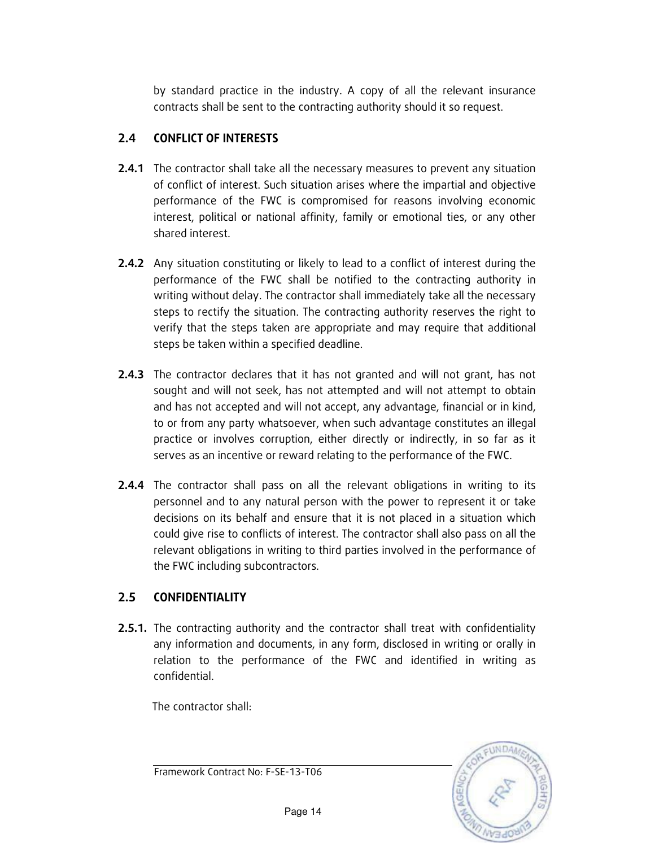by standard practice in the industry. A copy of all the relevant insurance contracts shall be sent to the contracting authority should it so request.

### 2.4 CONFLICT OF INTERESTS

- **2.4.1** The contractor shall take all the necessary measures to prevent any situation of conflict of interest. Such situation arises where the impartial and objective performance of the FWC is compromised for reasons involving economic interest, political or national affinity, family or emotional ties, or any other shared interest.
- **2.4.2** Any situation constituting or likely to lead to a conflict of interest during the performance of the FWC shall be notified to the contracting authority in writing without delay. The contractor shall immediately take all the necessary steps to rectify the situation. The contracting authority reserves the right to verify that the steps taken are appropriate and may require that additional steps be taken within a specified deadline.
- **2.4.3** The contractor declares that it has not granted and will not grant, has not sought and will not seek, has not attempted and will not attempt to obtain and has not accepted and will not accept, any advantage, financial or in kind, to or from any party whatsoever, when such advantage constitutes an illegal practice or involves corruption, either directly or indirectly, in so far as it serves as an incentive or reward relating to the performance of the FWC.
- **2.4.4** The contractor shall pass on all the relevant obligations in writing to its personnel and to any natural person with the power to represent it or take decisions on its behalf and ensure that it is not placed in a situation which could give rise to conflicts of interest. The contractor shall also pass on all the relevant obligations in writing to third parties involved in the performance of the FWC including subcontractors.

### 2.5 CONFIDENTIALITY

**2.5.1.** The contracting authority and the contractor shall treat with confidentiality any information and documents, in any form, disclosed in writing or orally in relation to the performance of the FWC and identified in writing as confidential.

The contractor shall:



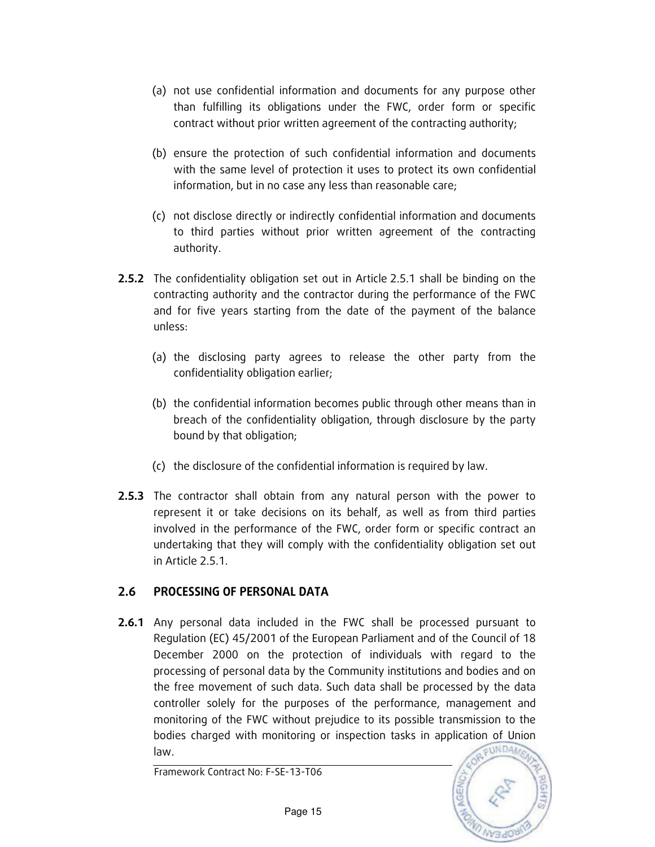- (a) not use confidential information and documents for any purpose other than fulfilling its obligations under the FWC, order form or specific contract without prior written agreement of the contracting authority;
- (b) ensure the protection of such confidential information and documents with the same level of protection it uses to protect its own confidential information, but in no case any less than reasonable care;
- (c) not disclose directly or indirectly confidential information and documents to third parties without prior written agreement of the contracting authority.
- **2.5.2** The confidentiality obligation set out in Article 2.5.1 shall be binding on the contracting authority and the contractor during the performance of the FWC and for five years starting from the date of the payment of the balance unless:
	- (a) the disclosing party agrees to release the other party from the confidentiality obligation earlier;
	- (b) the confidential information becomes public through other means than in breach of the confidentiality obligation, through disclosure by the party bound by that obligation;
	- (c) the disclosure of the confidential information is required by law.
- **2.5.3** The contractor shall obtain from any natural person with the power to represent it or take decisions on its behalf, as well as from third parties involved in the performance of the FWC, order form or specific contract an undertaking that they will comply with the confidentiality obligation set out in Article 2.5.1.

### 2.6 PROCESSING OF PERSONAL DATA

**2.6.1** Any personal data included in the FWC shall be processed pursuant to Regulation (EC) 45/2001 of the European Parliament and of the Council of 18 December 2000 on the protection of individuals with regard to the processing of personal data by the Community institutions and bodies and on the free movement of such data. Such data shall be processed by the data controller solely for the purposes of the performance, management and monitoring of the FWC without prejudice to its possible transmission to the bodies charged with monitoring or inspection tasks in application of Union EUNDA law.

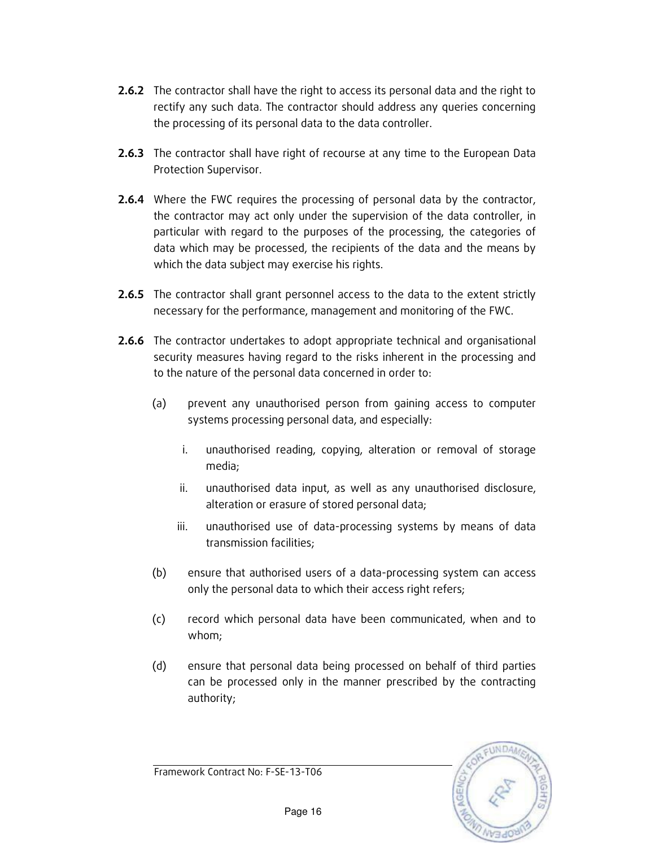- **2.6.2** The contractor shall have the right to access its personal data and the right to rectify any such data. The contractor should address any queries concerning the processing of its personal data to the data controller.
- 2.6.3 The contractor shall have right of recourse at any time to the European Data Protection Supervisor.
- **2.6.4** Where the FWC requires the processing of personal data by the contractor, the contractor may act only under the supervision of the data controller, in particular with regard to the purposes of the processing, the categories of data which may be processed, the recipients of the data and the means by which the data subject may exercise his rights.
- 2.6.5 The contractor shall grant personnel access to the data to the extent strictly necessary for the performance, management and monitoring of the FWC.
- **2.6.6** The contractor undertakes to adopt appropriate technical and organisational security measures having regard to the risks inherent in the processing and to the nature of the personal data concerned in order to:
	- (a) prevent any unauthorised person from gaining access to computer systems processing personal data, and especially:
		- i. unauthorised reading, copying, alteration or removal of storage media;
		- ii. unauthorised data input, as well as any unauthorised disclosure, alteration or erasure of stored personal data;
		- iii. unauthorised use of data-processing systems by means of data transmission facilities;
	- (b) ensure that authorised users of a data-processing system can access only the personal data to which their access right refers;
	- (c) record which personal data have been communicated, when and to whom;
	- (d) ensure that personal data being processed on behalf of third parties can be processed only in the manner prescribed by the contracting authority;

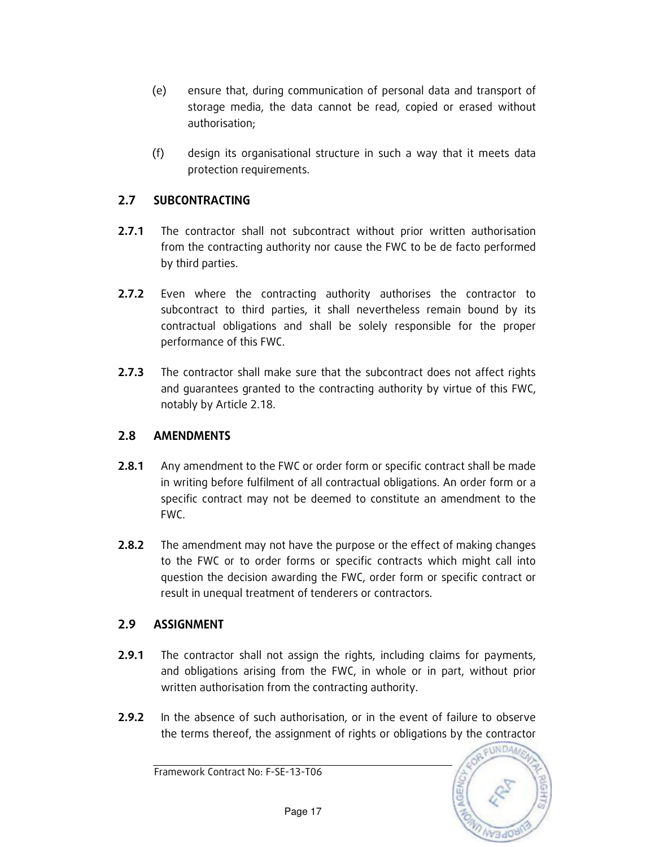- (e) ensure that, during communication of personal data and transport of storage media, the data cannot be read, copied or erased without authorisation;
- (f) design its organisational structure in such a way that it meets data protection requirements.

### 2.7 SUBCONTRACTING

- 2.7.1 The contractor shall not subcontract without prior written authorisation from the contracting authority nor cause the FWC to be de facto performed by third parties.
- 2.7.2 Even where the contracting authority authorises the contractor to subcontract to third parties, it shall nevertheless remain bound by its contractual obligations and shall be solely responsible for the proper performance of this FWC.
- 2.7.3 The contractor shall make sure that the subcontract does not affect rights and guarantees granted to the contracting authority by virtue of this FWC, notably by Article 2.18.

### 2.8 AMENDMENTS

- **2.8.1** Any amendment to the FWC or order form or specific contract shall be made in writing before fulfilment of all contractual obligations. An order form or a specific contract may not be deemed to constitute an amendment to the FWC.
- **2.8.2** The amendment may not have the purpose or the effect of making changes to the FWC or to order forms or specific contracts which might call into question the decision awarding the FWC, order form or specific contract or result in unequal treatment of tenderers or contractors.

### 2.9 ASSIGNMENT

- **2.9.1** The contractor shall not assign the rights, including claims for payments, and obligations arising from the FWC, in whole or in part, without prior written authorisation from the contracting authority.
- **2.9.2** In the absence of such authorisation, or in the event of failure to observe the terms thereof, the assignment of rights or obligations by the contractor

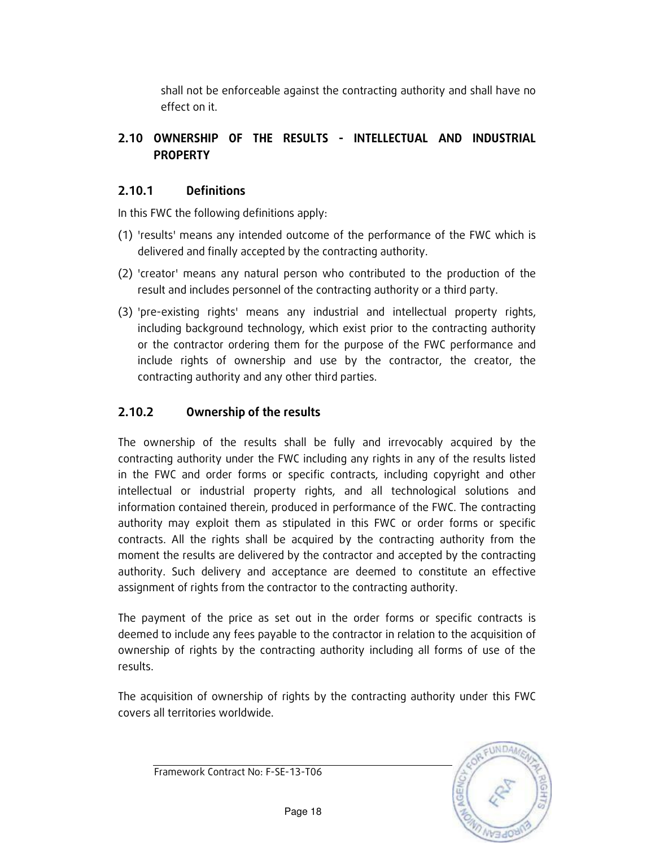shall not be enforceable against the contracting authority and shall have no effect on it.

### 2.10 OWNERSHIP OF THE RESULTS - INTELLECTUAL AND INDUSTRIAL PROPERTY

### 2.10.1 Definitions

In this FWC the following definitions apply:

- (1) 'results' means any intended outcome of the performance of the FWC which is delivered and finally accepted by the contracting authority.
- (2) 'creator' means any natural person who contributed to the production of the result and includes personnel of the contracting authority or a third party.
- (3) 'pre-existing rights' means any industrial and intellectual property rights, including background technology, which exist prior to the contracting authority or the contractor ordering them for the purpose of the FWC performance and include rights of ownership and use by the contractor, the creator, the contracting authority and any other third parties.

### 2.10.2 Ownership of the results

The ownership of the results shall be fully and irrevocably acquired by the contracting authority under the FWC including any rights in any of the results listed in the FWC and order forms or specific contracts, including copyright and other intellectual or industrial property rights, and all technological solutions and information contained therein, produced in performance of the FWC. The contracting authority may exploit them as stipulated in this FWC or order forms or specific contracts. All the rights shall be acquired by the contracting authority from the moment the results are delivered by the contractor and accepted by the contracting authority. Such delivery and acceptance are deemed to constitute an effective assignment of rights from the contractor to the contracting authority.

The payment of the price as set out in the order forms or specific contracts is deemed to include any fees payable to the contractor in relation to the acquisition of ownership of rights by the contracting authority including all forms of use of the results.

The acquisition of ownership of rights by the contracting authority under this FWC covers all territories worldwide.

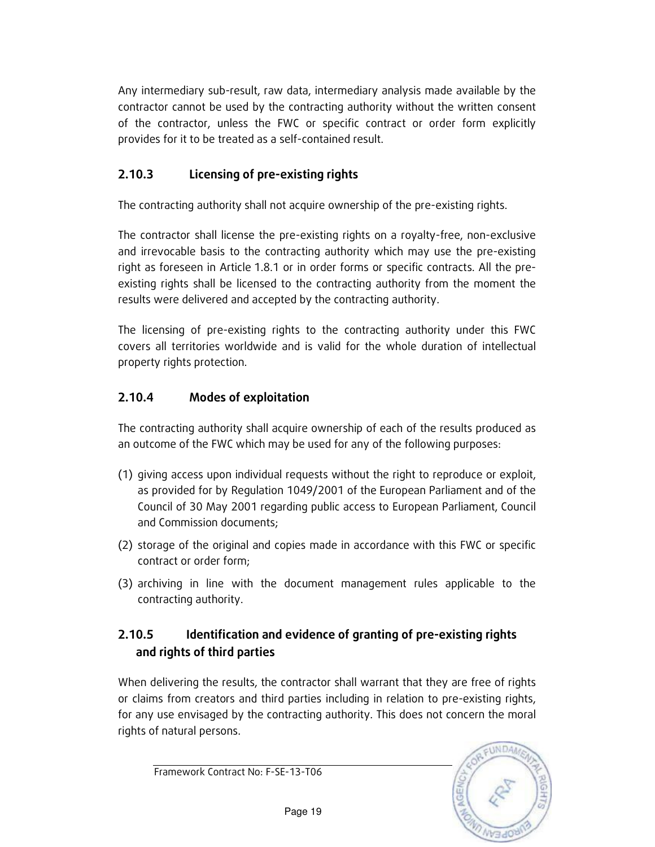Any intermediary sub-result, raw data, intermediary analysis made available by the contractor cannot be used by the contracting authority without the written consent of the contractor, unless the FWC or specific contract or order form explicitly provides for it to be treated as a self-contained result.

### 2.10.3 Licensing of pre-existing rights

The contracting authority shall not acquire ownership of the pre-existing rights.

The contractor shall license the pre-existing rights on a royalty-free, non-exclusive and irrevocable basis to the contracting authority which may use the pre-existing right as foreseen in Article 1.8.1 or in order forms or specific contracts. All the preexisting rights shall be licensed to the contracting authority from the moment the results were delivered and accepted by the contracting authority.

The licensing of pre-existing rights to the contracting authority under this FWC covers all territories worldwide and is valid for the whole duration of intellectual property rights protection.

### 2.10.4 Modes of exploitation

The contracting authority shall acquire ownership of each of the results produced as an outcome of the FWC which may be used for any of the following purposes:

- (1) giving access upon individual requests without the right to reproduce or exploit, as provided for by Regulation 1049/2001 of the European Parliament and of the Council of 30 May 2001 regarding public access to European Parliament, Council and Commission documents;
- (2) storage of the original and copies made in accordance with this FWC or specific contract or order form;
- (3) archiving in line with the document management rules applicable to the contracting authority.

### 2.10.5 Identification and evidence of granting of pre-existing rights and rights of third parties

When delivering the results, the contractor shall warrant that they are free of rights or claims from creators and third parties including in relation to pre-existing rights, for any use envisaged by the contracting authority. This does not concern the moral rights of natural persons.

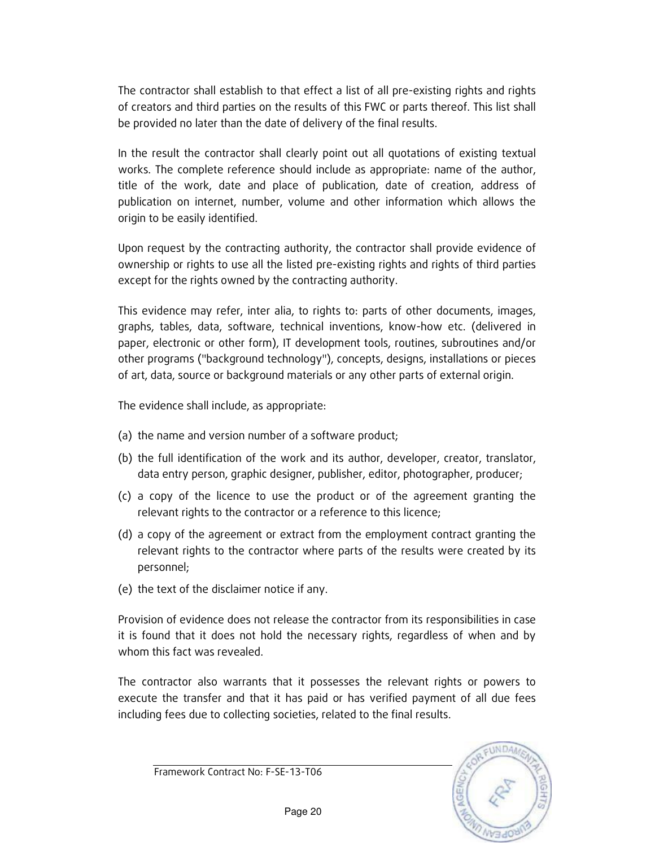The contractor shall establish to that effect a list of all pre-existing rights and rights of creators and third parties on the results of this FWC or parts thereof. This list shall be provided no later than the date of delivery of the final results.

In the result the contractor shall clearly point out all quotations of existing textual works. The complete reference should include as appropriate: name of the author, title of the work, date and place of publication, date of creation, address of publication on internet, number, volume and other information which allows the origin to be easily identified.

Upon request by the contracting authority, the contractor shall provide evidence of ownership or rights to use all the listed pre-existing rights and rights of third parties except for the rights owned by the contracting authority.

This evidence may refer, inter alia, to rights to: parts of other documents, images, graphs, tables, data, software, technical inventions, know-how etc. (delivered in paper, electronic or other form), IT development tools, routines, subroutines and/or other programs ("background technology"), concepts, designs, installations or pieces of art, data, source or background materials or any other parts of external origin.

The evidence shall include, as appropriate:

- (a) the name and version number of a software product;
- (b) the full identification of the work and its author, developer, creator, translator, data entry person, graphic designer, publisher, editor, photographer, producer;
- (c) a copy of the licence to use the product or of the agreement granting the relevant rights to the contractor or a reference to this licence;
- (d) a copy of the agreement or extract from the employment contract granting the relevant rights to the contractor where parts of the results were created by its personnel;
- (e) the text of the disclaimer notice if any.

Provision of evidence does not release the contractor from its responsibilities in case it is found that it does not hold the necessary rights, regardless of when and by whom this fact was revealed.

The contractor also warrants that it possesses the relevant rights or powers to execute the transfer and that it has paid or has verified payment of all due fees including fees due to collecting societies, related to the final results.

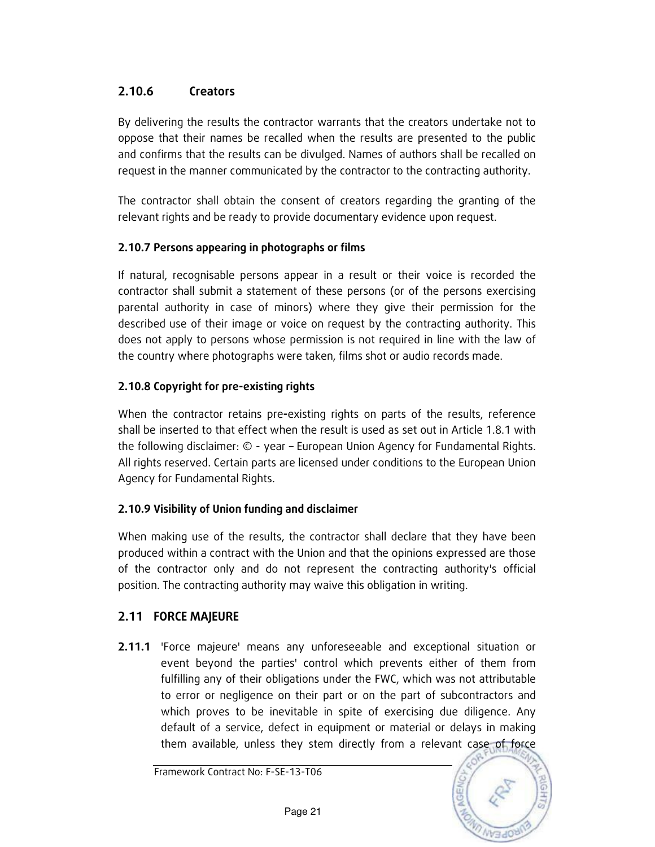### 2.10.6 Creators

By delivering the results the contractor warrants that the creators undertake not to oppose that their names be recalled when the results are presented to the public and confirms that the results can be divulged. Names of authors shall be recalled on request in the manner communicated by the contractor to the contracting authority.

The contractor shall obtain the consent of creators regarding the granting of the relevant rights and be ready to provide documentary evidence upon request.

#### 2.10.7 Persons appearing in photographs or films

If natural, recognisable persons appear in a result or their voice is recorded the contractor shall submit a statement of these persons (or of the persons exercising parental authority in case of minors) where they give their permission for the described use of their image or voice on request by the contracting authority. This does not apply to persons whose permission is not required in line with the law of the country where photographs were taken, films shot or audio records made.

#### 2.10.8 Copyright for pre-existing rights

When the contractor retains pre-existing rights on parts of the results, reference shall be inserted to that effect when the result is used as set out in Article 1.8.1 with the following disclaimer: © - year – European Union Agency for Fundamental Rights. All rights reserved. Certain parts are licensed under conditions to the European Union Agency for Fundamental Rights.

#### 2.10.9 Visibility of Union funding and disclaimer

When making use of the results, the contractor shall declare that they have been produced within a contract with the Union and that the opinions expressed are those of the contractor only and do not represent the contracting authority's official position. The contracting authority may waive this obligation in writing.

### 2.11 FORCE MAJEURE

2.11.1 'Force majeure' means any unforeseeable and exceptional situation or event beyond the parties' control which prevents either of them from fulfilling any of their obligations under the FWC, which was not attributable to error or negligence on their part or on the part of subcontractors and which proves to be inevitable in spite of exercising due diligence. Any default of a service, defect in equipment or material or delays in making them available, unless they stem directly from a relevant case of force

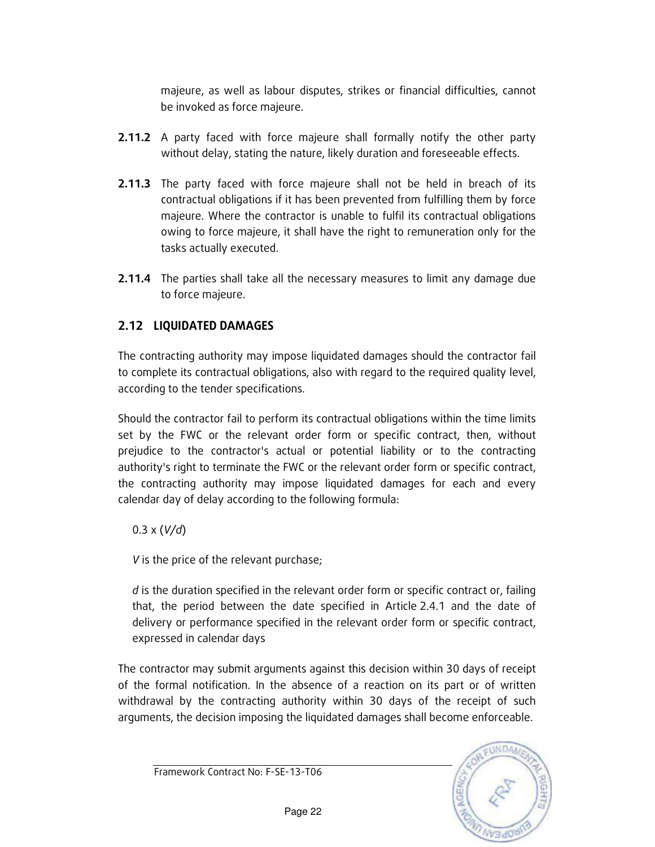majeure, as well as labour disputes, strikes or financial difficulties, cannot be invoked as force majeure.

- **2.11.2** A party faced with force majeure shall formally notify the other party without delay, stating the nature, likely duration and foreseeable effects.
- **2.11.3** The party faced with force majeure shall not be held in breach of its contractual obligations if it has been prevented from fulfilling them by force majeure. Where the contractor is unable to fulfil its contractual obligations owing to force majeure, it shall have the right to remuneration only for the tasks actually executed.
- **2.11.4** The parties shall take all the necessary measures to limit any damage due to force majeure.

### 2.12 LIQUIDATED DAMAGES

The contracting authority may impose liquidated damages should the contractor fail to complete its contractual obligations, also with regard to the required quality level, according to the tender specifications.

Should the contractor fail to perform its contractual obligations within the time limits set by the FWC or the relevant order form or specific contract, then, without prejudice to the contractor's actual or potential liability or to the contracting authority's right to terminate the FWC or the relevant order form or specific contract, the contracting authority may impose liquidated damages for each and every calendar day of delay according to the following formula:

### $0.3 \times (V/d)$

V is the price of the relevant purchase;

d is the duration specified in the relevant order form or specific contract or, failing that, the period between the date specified in Article 2.4.1 and the date of delivery or performance specified in the relevant order form or specific contract, expressed in calendar days

The contractor may submit arguments against this decision within 30 days of receipt of the formal notification. In the absence of a reaction on its part or of written withdrawal by the contracting authority within 30 days of the receipt of such arguments, the decision imposing the liquidated damages shall become enforceable.

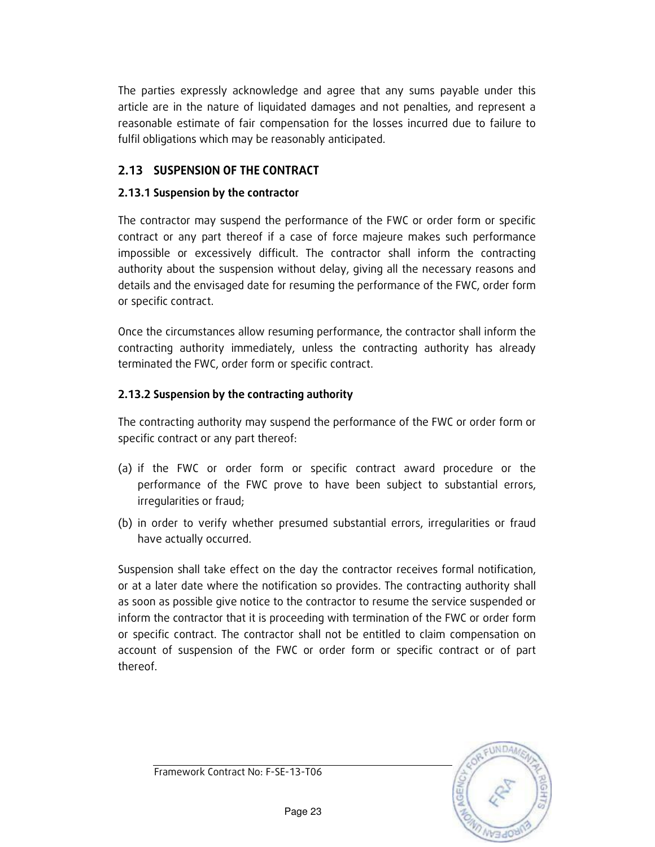The parties expressly acknowledge and agree that any sums payable under this article are in the nature of liquidated damages and not penalties, and represent a reasonable estimate of fair compensation for the losses incurred due to failure to fulfil obligations which may be reasonably anticipated.

### 2.13 SUSPENSION OF THE CONTRACT

#### 2.13.1 Suspension by the contractor

The contractor may suspend the performance of the FWC or order form or specific contract or any part thereof if a case of force majeure makes such performance impossible or excessively difficult. The contractor shall inform the contracting authority about the suspension without delay, giving all the necessary reasons and details and the envisaged date for resuming the performance of the FWC, order form or specific contract.

Once the circumstances allow resuming performance, the contractor shall inform the contracting authority immediately, unless the contracting authority has already terminated the FWC, order form or specific contract.

#### 2.13.2 Suspension by the contracting authority

The contracting authority may suspend the performance of the FWC or order form or specific contract or any part thereof:

- (a) if the FWC or order form or specific contract award procedure or the performance of the FWC prove to have been subject to substantial errors, irregularities or fraud;
- (b) in order to verify whether presumed substantial errors, irregularities or fraud have actually occurred.

Suspension shall take effect on the day the contractor receives formal notification, or at a later date where the notification so provides. The contracting authority shall as soon as possible give notice to the contractor to resume the service suspended or inform the contractor that it is proceeding with termination of the FWC or order form or specific contract. The contractor shall not be entitled to claim compensation on account of suspension of the FWC or order form or specific contract or of part thereof.

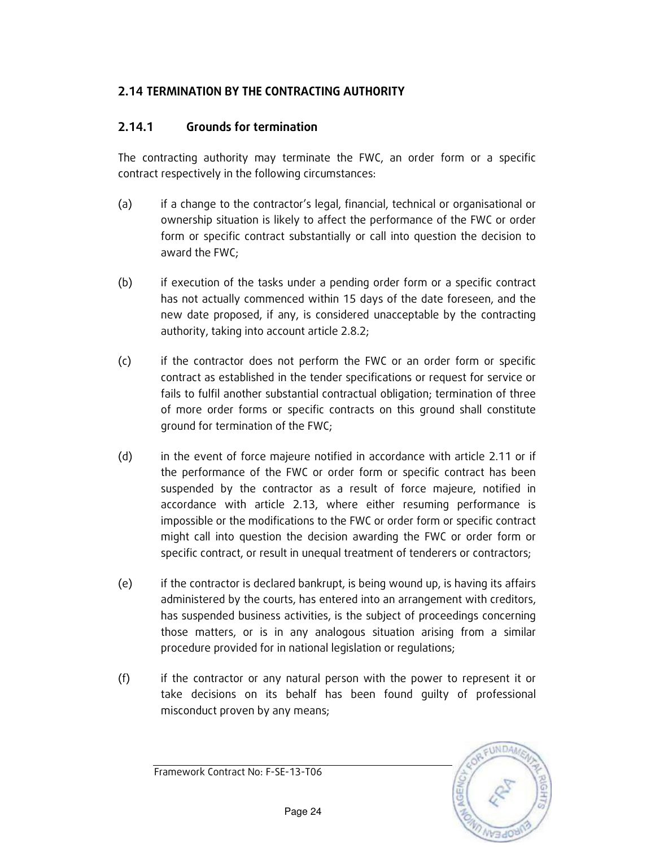### 2.14 TERMINATION BY THE CONTRACTING AUTHORITY

### 2.14.1 Grounds for termination

The contracting authority may terminate the FWC, an order form or a specific contract respectively in the following circumstances:

- (a) if a change to the contractor's legal, financial, technical or organisational or ownership situation is likely to affect the performance of the FWC or order form or specific contract substantially or call into question the decision to award the FWC;
- (b) if execution of the tasks under a pending order form or a specific contract has not actually commenced within 15 days of the date foreseen, and the new date proposed, if any, is considered unacceptable by the contracting authority, taking into account article 2.8.2;
- (c) if the contractor does not perform the FWC or an order form or specific contract as established in the tender specifications or request for service or fails to fulfil another substantial contractual obligation; termination of three of more order forms or specific contracts on this ground shall constitute ground for termination of the FWC;
- (d) in the event of force majeure notified in accordance with article 2.11 or if the performance of the FWC or order form or specific contract has been suspended by the contractor as a result of force majeure, notified in accordance with article 2.13, where either resuming performance is impossible or the modifications to the FWC or order form or specific contract might call into question the decision awarding the FWC or order form or specific contract, or result in unequal treatment of tenderers or contractors;
- (e) if the contractor is declared bankrupt, is being wound up, is having its affairs administered by the courts, has entered into an arrangement with creditors, has suspended business activities, is the subject of proceedings concerning those matters, or is in any analogous situation arising from a similar procedure provided for in national legislation or regulations;
- (f) if the contractor or any natural person with the power to represent it or take decisions on its behalf has been found guilty of professional misconduct proven by any means;

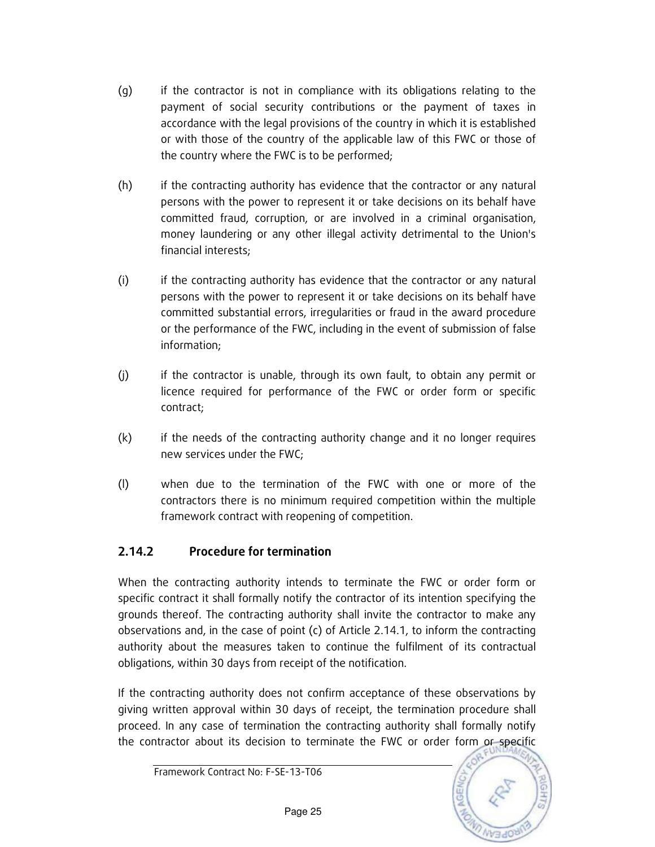- (g) if the contractor is not in compliance with its obligations relating to the payment of social security contributions or the payment of taxes in accordance with the legal provisions of the country in which it is established or with those of the country of the applicable law of this FWC or those of the country where the FWC is to be performed;
- (h) if the contracting authority has evidence that the contractor or any natural persons with the power to represent it or take decisions on its behalf have committed fraud, corruption, or are involved in a criminal organisation, money laundering or any other illegal activity detrimental to the Union's financial interests;
- (i) if the contracting authority has evidence that the contractor or any natural persons with the power to represent it or take decisions on its behalf have committed substantial errors, irregularities or fraud in the award procedure or the performance of the FWC, including in the event of submission of false information;
- (j) if the contractor is unable, through its own fault, to obtain any permit or licence required for performance of the FWC or order form or specific contract;
- (k) if the needs of the contracting authority change and it no longer requires new services under the FWC;
- (l) when due to the termination of the FWC with one or more of the contractors there is no minimum required competition within the multiple framework contract with reopening of competition.

### 2.14.2 Procedure for termination

When the contracting authority intends to terminate the FWC or order form or specific contract it shall formally notify the contractor of its intention specifying the grounds thereof. The contracting authority shall invite the contractor to make any observations and, in the case of point (c) of Article 2.14.1, to inform the contracting authority about the measures taken to continue the fulfilment of its contractual obligations, within 30 days from receipt of the notification.

If the contracting authority does not confirm acceptance of these observations by giving written approval within 30 days of receipt, the termination procedure shall proceed. In any case of termination the contracting authority shall formally notify the contractor about its decision to terminate the FWC or order form or specific



Page 25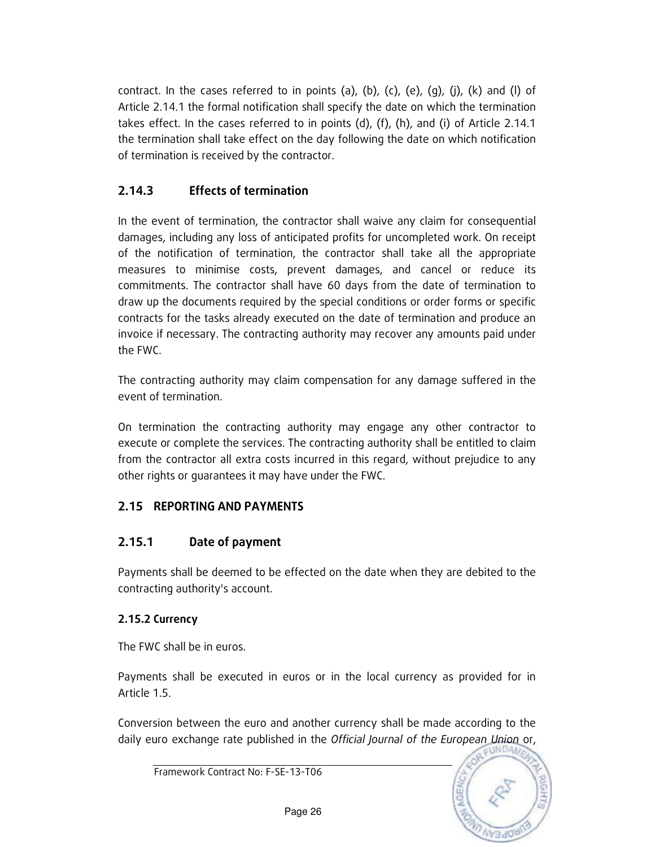contract. In the cases referred to in points (a), (b), (c), (e), (g), (j), (k) and (l) of Article 2.14.1 the formal notification shall specify the date on which the termination takes effect. In the cases referred to in points (d), (f), (h), and (i) of Article 2.14.1 the termination shall take effect on the day following the date on which notification of termination is received by the contractor.

### 2.14.3 Effects of termination

In the event of termination, the contractor shall waive any claim for consequential damages, including any loss of anticipated profits for uncompleted work. On receipt of the notification of termination, the contractor shall take all the appropriate measures to minimise costs, prevent damages, and cancel or reduce its commitments. The contractor shall have 60 days from the date of termination to draw up the documents required by the special conditions or order forms or specific contracts for the tasks already executed on the date of termination and produce an invoice if necessary. The contracting authority may recover any amounts paid under the FWC.

The contracting authority may claim compensation for any damage suffered in the event of termination.

On termination the contracting authority may engage any other contractor to execute or complete the services. The contracting authority shall be entitled to claim from the contractor all extra costs incurred in this regard, without prejudice to any other rights or guarantees it may have under the FWC.

### 2.15 REPORTING AND PAYMENTS

### 2.15.1 Date of payment

Payments shall be deemed to be effected on the date when they are debited to the contracting authority's account.

### 2.15.2 Currency

The FWC shall be in euros.

Payments shall be executed in euros or in the local currency as provided for in Article 1.5.

Conversion between the euro and another currency shall be made according to the daily euro exchange rate published in the Official Journal of the European Union or,

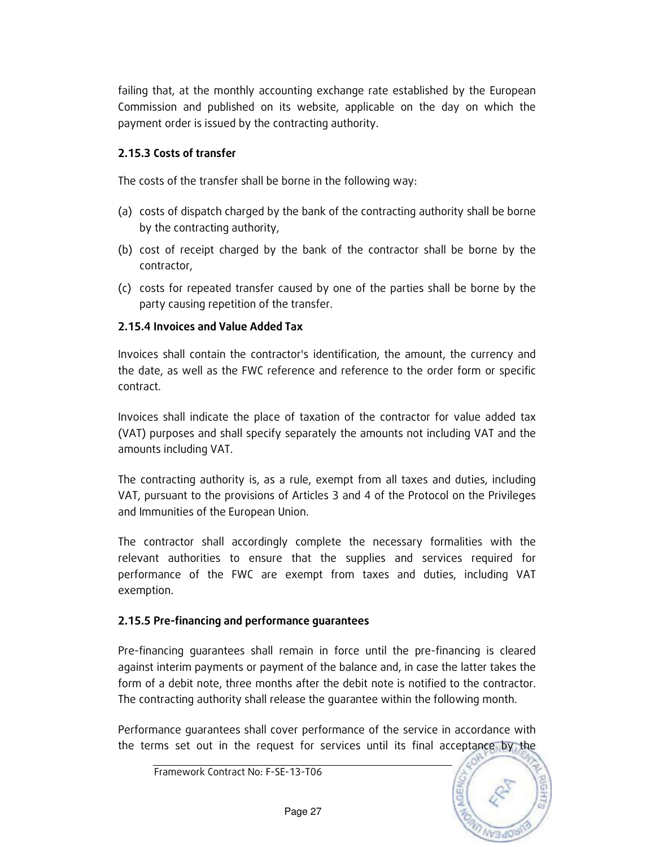failing that, at the monthly accounting exchange rate established by the European Commission and published on its website, applicable on the day on which the payment order is issued by the contracting authority.

#### 2.15.3 Costs of transfer

The costs of the transfer shall be borne in the following way:

- (a) costs of dispatch charged by the bank of the contracting authority shall be borne by the contracting authority,
- (b) cost of receipt charged by the bank of the contractor shall be borne by the contractor,
- (c) costs for repeated transfer caused by one of the parties shall be borne by the party causing repetition of the transfer.

### 2.15.4 Invoices and Value Added Tax

Invoices shall contain the contractor's identification, the amount, the currency and the date, as well as the FWC reference and reference to the order form or specific contract.

Invoices shall indicate the place of taxation of the contractor for value added tax (VAT) purposes and shall specify separately the amounts not including VAT and the amounts including VAT.

The contracting authority is, as a rule, exempt from all taxes and duties, including VAT, pursuant to the provisions of Articles 3 and 4 of the Protocol on the Privileges and Immunities of the European Union.

The contractor shall accordingly complete the necessary formalities with the relevant authorities to ensure that the supplies and services required for performance of the FWC are exempt from taxes and duties, including VAT exemption.

#### 2.15.5 Pre-financing and performance guarantees

Pre-financing guarantees shall remain in force until the pre-financing is cleared against interim payments or payment of the balance and, in case the latter takes the form of a debit note, three months after the debit note is notified to the contractor. The contracting authority shall release the guarantee within the following month.

Performance guarantees shall cover performance of the service in accordance with the terms set out in the request for services until its final acceptance by the

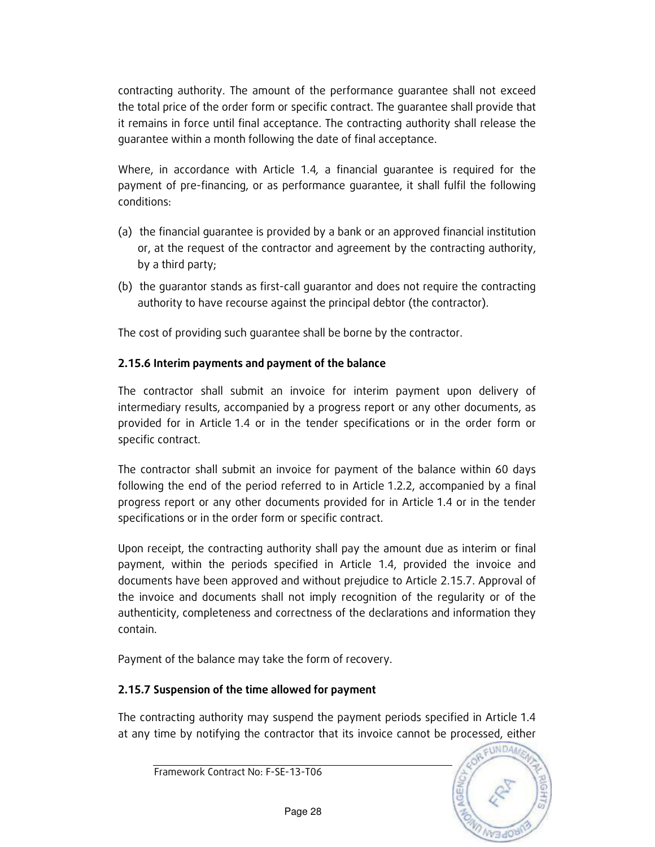contracting authority. The amount of the performance guarantee shall not exceed the total price of the order form or specific contract. The guarantee shall provide that it remains in force until final acceptance. The contracting authority shall release the guarantee within a month following the date of final acceptance.

Where, in accordance with Article 1.4, a financial guarantee is required for the payment of pre-financing, or as performance guarantee, it shall fulfil the following conditions:

- (a) the financial guarantee is provided by a bank or an approved financial institution or, at the request of the contractor and agreement by the contracting authority, by a third party;
- (b) the guarantor stands as first-call guarantor and does not require the contracting authority to have recourse against the principal debtor (the contractor).

The cost of providing such guarantee shall be borne by the contractor.

### 2.15.6 Interim payments and payment of the balance

The contractor shall submit an invoice for interim payment upon delivery of intermediary results, accompanied by a progress report or any other documents, as provided for in Article 1.4 or in the tender specifications or in the order form or specific contract.

The contractor shall submit an invoice for payment of the balance within 60 days following the end of the period referred to in Article 1.2.2, accompanied by a final progress report or any other documents provided for in Article 1.4 or in the tender specifications or in the order form or specific contract.

Upon receipt, the contracting authority shall pay the amount due as interim or final payment, within the periods specified in Article 1.4, provided the invoice and documents have been approved and without prejudice to Article 2.15.7. Approval of the invoice and documents shall not imply recognition of the regularity or of the authenticity, completeness and correctness of the declarations and information they contain.

Payment of the balance may take the form of recovery.

### 2.15.7 Suspension of the time allowed for payment

The contracting authority may suspend the payment periods specified in Article 1.4 at any time by notifying the contractor that its invoice cannot be processed, either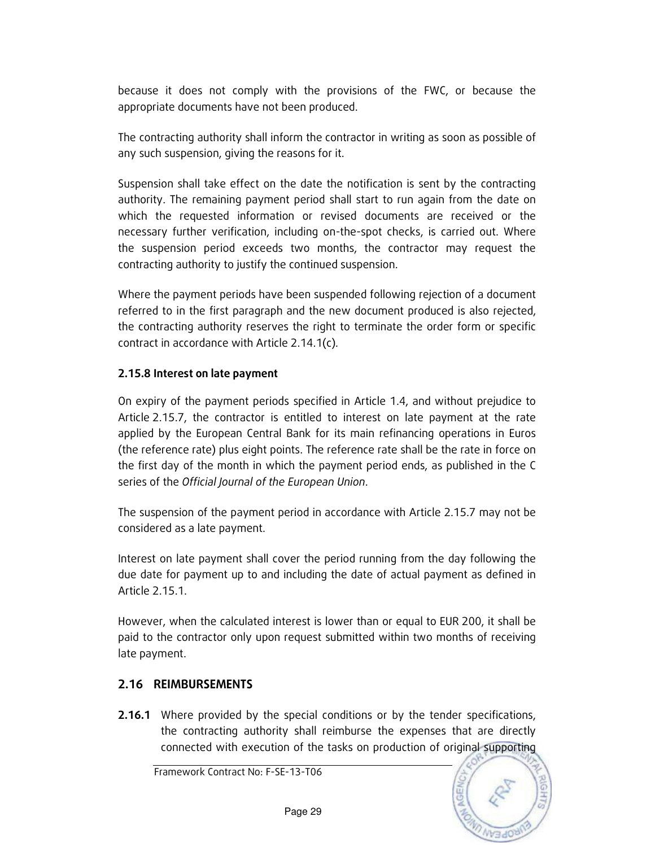because it does not comply with the provisions of the FWC, or because the appropriate documents have not been produced.

The contracting authority shall inform the contractor in writing as soon as possible of any such suspension, giving the reasons for it.

Suspension shall take effect on the date the notification is sent by the contracting authority. The remaining payment period shall start to run again from the date on which the requested information or revised documents are received or the necessary further verification, including on-the-spot checks, is carried out. Where the suspension period exceeds two months, the contractor may request the contracting authority to justify the continued suspension.

Where the payment periods have been suspended following rejection of a document referred to in the first paragraph and the new document produced is also rejected, the contracting authority reserves the right to terminate the order form or specific contract in accordance with Article 2.14.1(c).

#### 2.15.8 Interest on late payment

On expiry of the payment periods specified in Article 1.4, and without prejudice to Article 2.15.7, the contractor is entitled to interest on late payment at the rate applied by the European Central Bank for its main refinancing operations in Euros (the reference rate) plus eight points. The reference rate shall be the rate in force on the first day of the month in which the payment period ends, as published in the C series of the Official Journal of the European Union.

The suspension of the payment period in accordance with Article 2.15.7 may not be considered as a late payment.

Interest on late payment shall cover the period running from the day following the due date for payment up to and including the date of actual payment as defined in Article 2.15.1.

However, when the calculated interest is lower than or equal to EUR 200, it shall be paid to the contractor only upon request submitted within two months of receiving late payment.

#### 2.16 REIMBURSEMENTS

**2.16.1** Where provided by the special conditions or by the tender specifications, the contracting authority shall reimburse the expenses that are directly connected with execution of the tasks on production of original supporting

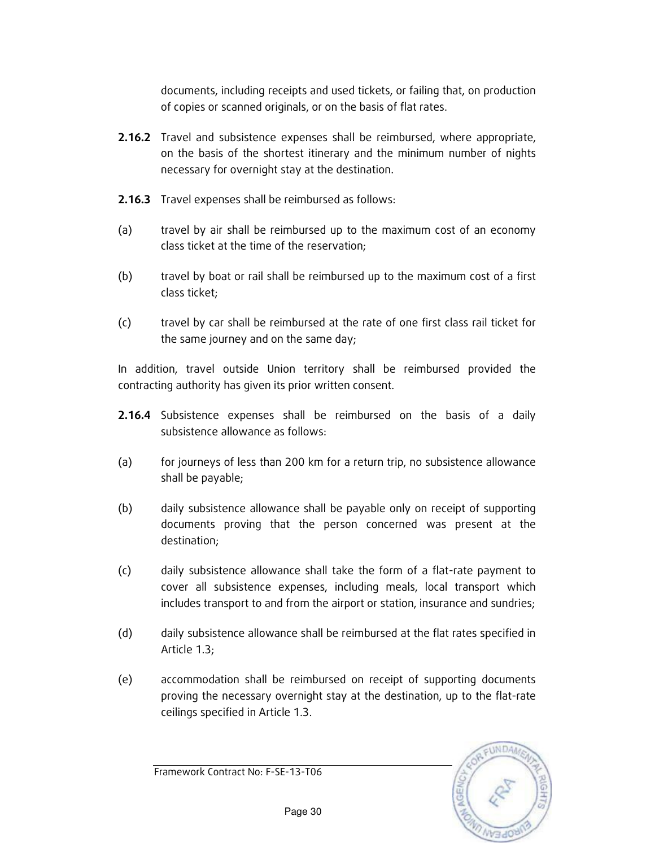documents, including receipts and used tickets, or failing that, on production of copies or scanned originals, or on the basis of flat rates.

- **2.16.2** Travel and subsistence expenses shall be reimbursed, where appropriate, on the basis of the shortest itinerary and the minimum number of nights necessary for overnight stay at the destination.
- 2.16.3 Travel expenses shall be reimbursed as follows:
- (a) travel by air shall be reimbursed up to the maximum cost of an economy class ticket at the time of the reservation;
- (b) travel by boat or rail shall be reimbursed up to the maximum cost of a first class ticket;
- (c) travel by car shall be reimbursed at the rate of one first class rail ticket for the same journey and on the same day;

In addition, travel outside Union territory shall be reimbursed provided the contracting authority has given its prior written consent.

- **2.16.4** Subsistence expenses shall be reimbursed on the basis of a daily subsistence allowance as follows:
- (a) for journeys of less than 200 km for a return trip, no subsistence allowance shall be payable;
- (b) daily subsistence allowance shall be payable only on receipt of supporting documents proving that the person concerned was present at the destination;
- (c) daily subsistence allowance shall take the form of a flat-rate payment to cover all subsistence expenses, including meals, local transport which includes transport to and from the airport or station, insurance and sundries;
- (d) daily subsistence allowance shall be reimbursed at the flat rates specified in Article 1.3;
- (e) accommodation shall be reimbursed on receipt of supporting documents proving the necessary overnight stay at the destination, up to the flat-rate ceilings specified in Article 1.3.

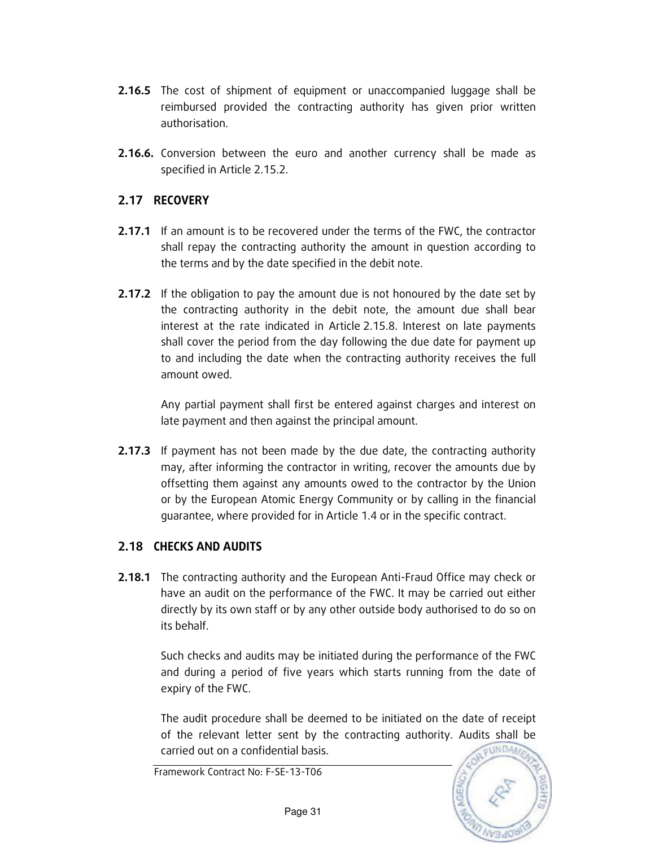- 2.16.5 The cost of shipment of equipment or unaccompanied luggage shall be reimbursed provided the contracting authority has given prior written authorisation.
- 2.16.6. Conversion between the euro and another currency shall be made as specified in Article 2.15.2.

### 2.17 RECOVERY

- **2.17.1** If an amount is to be recovered under the terms of the FWC, the contractor shall repay the contracting authority the amount in question according to the terms and by the date specified in the debit note.
- **2.17.2** If the obligation to pay the amount due is not honoured by the date set by the contracting authority in the debit note, the amount due shall bear interest at the rate indicated in Article 2.15.8. Interest on late payments shall cover the period from the day following the due date for payment up to and including the date when the contracting authority receives the full amount owed.

Any partial payment shall first be entered against charges and interest on late payment and then against the principal amount.

**2.17.3** If payment has not been made by the due date, the contracting authority may, after informing the contractor in writing, recover the amounts due by offsetting them against any amounts owed to the contractor by the Union or by the European Atomic Energy Community or by calling in the financial guarantee, where provided for in Article 1.4 or in the specific contract.

### 2.18 CHECKS AND AUDITS

**2.18.1** The contracting authority and the European Anti-Fraud Office may check or have an audit on the performance of the FWC. It may be carried out either directly by its own staff or by any other outside body authorised to do so on its behalf.

Such checks and audits may be initiated during the performance of the FWC and during a period of five years which starts running from the date of expiry of the FWC.

The audit procedure shall be deemed to be initiated on the date of receipt of the relevant letter sent by the contracting authority. Audits shall be EUNDA carried out on a confidential basis.

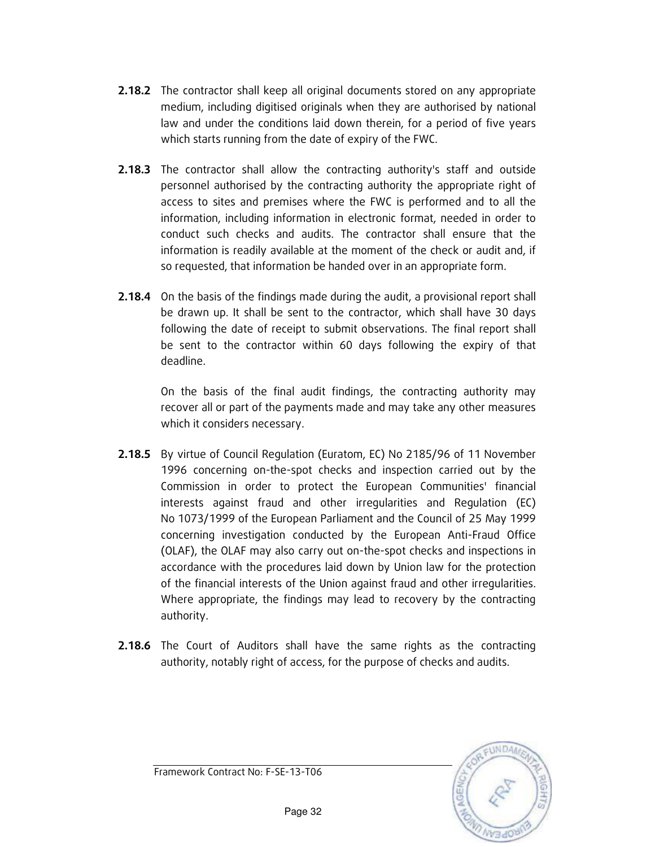- **2.18.2** The contractor shall keep all original documents stored on any appropriate medium, including digitised originals when they are authorised by national law and under the conditions laid down therein, for a period of five years which starts running from the date of expiry of the FWC.
- **2.18.3** The contractor shall allow the contracting authority's staff and outside personnel authorised by the contracting authority the appropriate right of access to sites and premises where the FWC is performed and to all the information, including information in electronic format, needed in order to conduct such checks and audits. The contractor shall ensure that the information is readily available at the moment of the check or audit and, if so requested, that information be handed over in an appropriate form.
- **2.18.4** On the basis of the findings made during the audit, a provisional report shall be drawn up. It shall be sent to the contractor, which shall have 30 days following the date of receipt to submit observations. The final report shall be sent to the contractor within 60 days following the expiry of that deadline.

On the basis of the final audit findings, the contracting authority may recover all or part of the payments made and may take any other measures which it considers necessary.

- 2.18.5 By virtue of Council Regulation (Euratom, EC) No 2185/96 of 11 November 1996 concerning on-the-spot checks and inspection carried out by the Commission in order to protect the European Communities' financial interests against fraud and other irregularities and Regulation (EC) No 1073/1999 of the European Parliament and the Council of 25 May 1999 concerning investigation conducted by the European Anti-Fraud Office (OLAF), the OLAF may also carry out on-the-spot checks and inspections in accordance with the procedures laid down by Union law for the protection of the financial interests of the Union against fraud and other irregularities. Where appropriate, the findings may lead to recovery by the contracting authority.
- **2.18.6** The Court of Auditors shall have the same rights as the contracting authority, notably right of access, for the purpose of checks and audits.

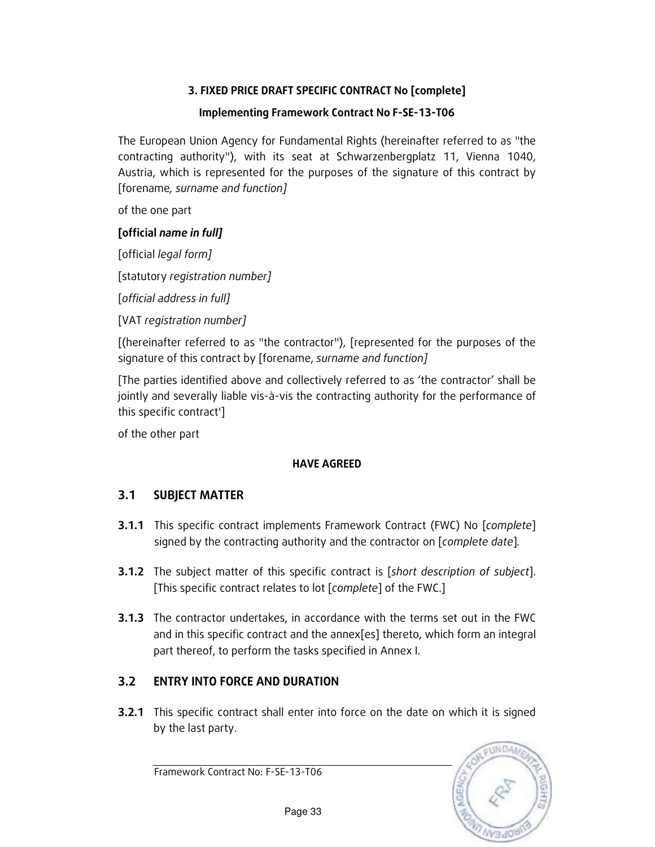### 3. FIXED PRICE DRAFT SPECIFIC CONTRACT No [complete]

### Implementing Framework Contract No F-SE-13-T06

The European Union Agency for Fundamental Rights (hereinafter referred to as "the contracting authority"), with its seat at Schwarzenbergplatz 11, Vienna 1040, Austria, which is represented for the purposes of the signature of this contract by [forename, surname and function]

of the one part

### [official name in full]

[official legal form]

[statutory registration number]

[official address in full]

[VAT registration number]

[(hereinafter referred to as "the contractor"), [represented for the purposes of the signature of this contract by [forename, surname and function]

[The parties identified above and collectively referred to as 'the contractor' shall be jointly and severally liable vis-à-vis the contracting authority for the performance of this specific contract']

of the other part

#### HAVE AGREED

### 3.1 SUBJECT MATTER

- **3.1.1** This specific contract implements Framework Contract (FWC) No [complete] signed by the contracting authority and the contractor on [complete date].
- **3.1.2** The subject matter of this specific contract is [short description of subject]. [This specific contract relates to lot [complete] of the FWC.]
- **3.1.3** The contractor undertakes, in accordance with the terms set out in the FWC and in this specific contract and the annex[es] thereto, which form an integral part thereof, to perform the tasks specified in Annex I.

### 3.2 ENTRY INTO FORCE AND DURATION

**3.2.1** This specific contract shall enter into force on the date on which it is signed by the last party.

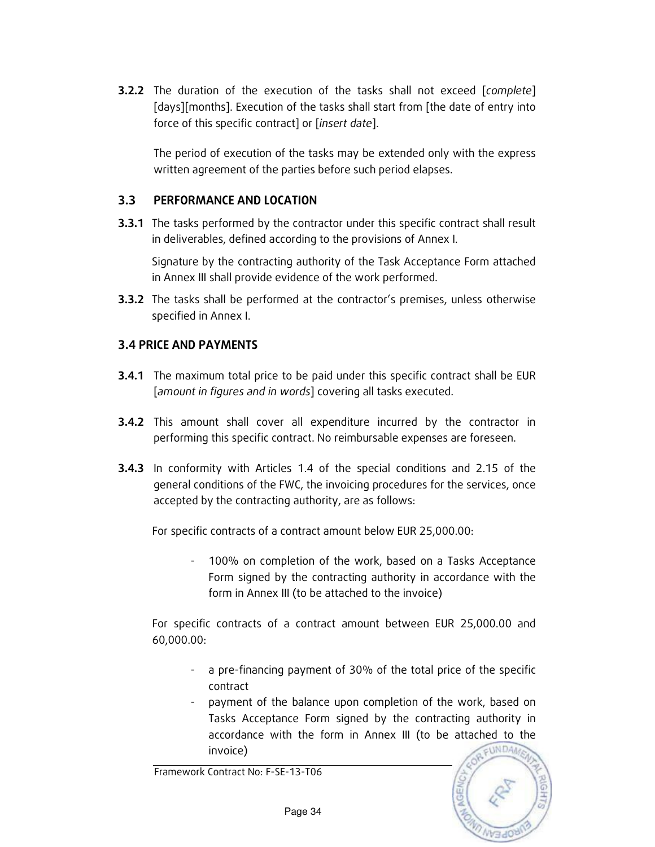**3.2.2** The duration of the execution of the tasks shall not exceed [complete] [days][months]. Execution of the tasks shall start from [the date of entry into force of this specific contract] or [insert date].

The period of execution of the tasks may be extended only with the express written agreement of the parties before such period elapses.

#### 3.3 PERFORMANCE AND LOCATION

**3.3.1** The tasks performed by the contractor under this specific contract shall result in deliverables, defined according to the provisions of Annex I.

 Signature by the contracting authority of the Task Acceptance Form attached in Annex III shall provide evidence of the work performed.

**3.3.2** The tasks shall be performed at the contractor's premises, unless otherwise specified in Annex I.

### 3.4 PRICE AND PAYMENTS

- **3.4.1** The maximum total price to be paid under this specific contract shall be EUR [amount in figures and in words] covering all tasks executed.
- **3.4.2** This amount shall cover all expenditure incurred by the contractor in performing this specific contract. No reimbursable expenses are foreseen.
- **3.4.3** In conformity with Articles 1.4 of the special conditions and 2.15 of the general conditions of the FWC, the invoicing procedures for the services, once accepted by the contracting authority, are as follows:

For specific contracts of a contract amount below EUR 25,000.00:

100% on completion of the work, based on a Tasks Acceptance Form signed by the contracting authority in accordance with the form in Annex III (to be attached to the invoice)

For specific contracts of a contract amount between EUR 25,000.00 and 60,000.00:

- a pre-financing payment of 30% of the total price of the specific contract
- payment of the balance upon completion of the work, based on Tasks Acceptance Form signed by the contracting authority in accordance with the form in Annex III (to be attached to the EUNDA invoice)

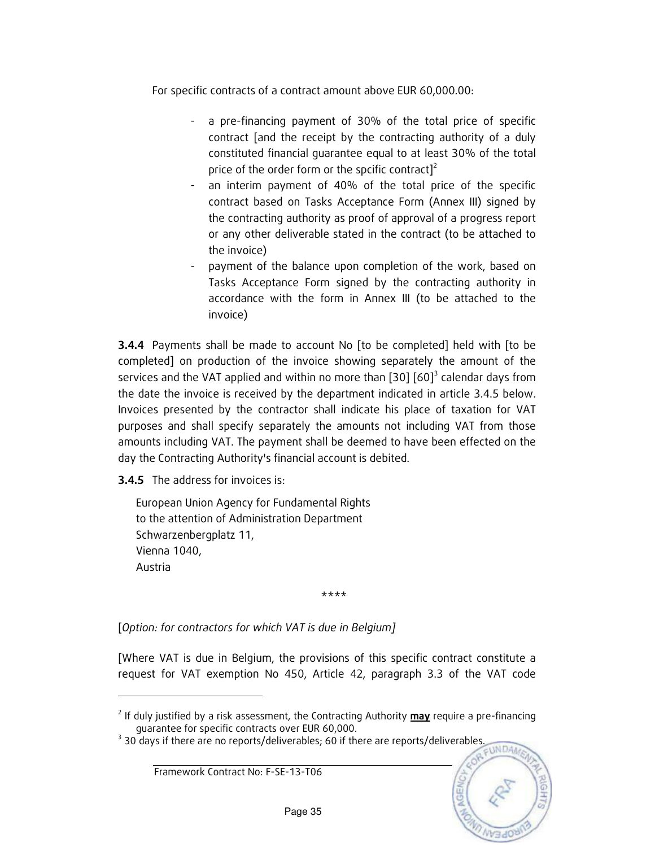For specific contracts of a contract amount above EUR 60,000.00:

- a pre-financing payment of 30% of the total price of specific contract [and the receipt by the contracting authority of a duly constituted financial guarantee equal to at least 30% of the total price of the order form or the spcific contract] $2^2$
- an interim payment of 40% of the total price of the specific contract based on Tasks Acceptance Form (Annex III) signed by the contracting authority as proof of approval of a progress report or any other deliverable stated in the contract (to be attached to the invoice)
- payment of the balance upon completion of the work, based on Tasks Acceptance Form signed by the contracting authority in accordance with the form in Annex III (to be attached to the invoice)

**3.4.4** Payments shall be made to account No [to be completed] held with [to be completed] on production of the invoice showing separately the amount of the services and the VAT applied and within no more than [30]  $[60]^3$  calendar days from the date the invoice is received by the department indicated in article 3.4.5 below. Invoices presented by the contractor shall indicate his place of taxation for VAT purposes and shall specify separately the amounts not including VAT from those amounts including VAT. The payment shall be deemed to have been effected on the day the Contracting Authority's financial account is debited.

**3.4.5** The address for invoices is:

-

European Union Agency for Fundamental Rights to the attention of Administration Department Schwarzenbergplatz 11, Vienna 1040, Austria

\*\*\*\*

[Option: for contractors for which VAT is due in Belgium]

[Where VAT is due in Belgium, the provisions of this specific contract constitute a request for VAT exemption No 450, Article 42, paragraph 3.3 of the VAT code



<sup>&</sup>lt;sup>2</sup> If duly justified by a risk assessment, the Contracting Authority **may** require a pre-financing guarantee for specific contracts over EUR 60,000.

 $3$  30 days if there are no reports/deliverables; 60 if there are reports/deliverables.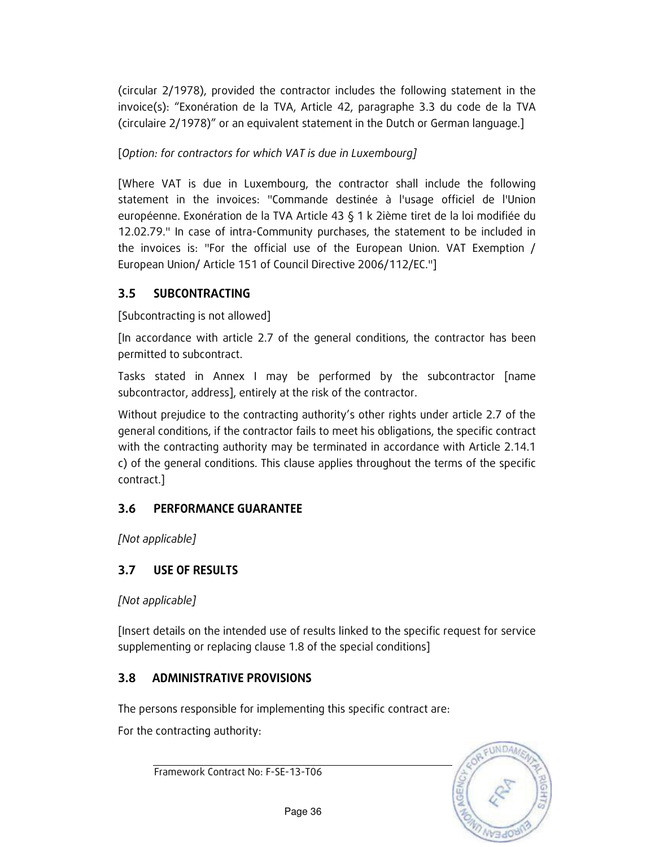(circular 2/1978), provided the contractor includes the following statement in the invoice(s): "Exonération de la TVA, Article 42, paragraphe 3.3 du code de la TVA (circulaire 2/1978)" or an equivalent statement in the Dutch or German language.]

[Option: for contractors for which VAT is due in Luxembourg]

[Where VAT is due in Luxembourg, the contractor shall include the following statement in the invoices: "Commande destinée à l'usage officiel de l'Union européenne. Exonération de la TVA Article 43 § 1 k 2ième tiret de la loi modifiée du 12.02.79." In case of intra-Community purchases, the statement to be included in the invoices is: "For the official use of the European Union. VAT Exemption / European Union/ Article 151 of Council Directive 2006/112/EC."]

### 3.5 SUBCONTRACTING

[Subcontracting is not allowed]

[In accordance with article 2.7 of the general conditions, the contractor has been permitted to subcontract.

Tasks stated in Annex I may be performed by the subcontractor [name subcontractor, address], entirely at the risk of the contractor.

Without prejudice to the contracting authority's other rights under article 2.7 of the general conditions, if the contractor fails to meet his obligations, the specific contract with the contracting authority may be terminated in accordance with Article 2.14.1 c) of the general conditions. This clause applies throughout the terms of the specific contract.]

### 3.6 PERFORMANCE GUARANTEE

[Not applicable]

### 3.7 USE OF RESULTS

[Not applicable]

[Insert details on the intended use of results linked to the specific request for service supplementing or replacing clause 1.8 of the special conditions]

### 3.8 ADMINISTRATIVE PROVISIONS

The persons responsible for implementing this specific contract are:

For the contracting authority:

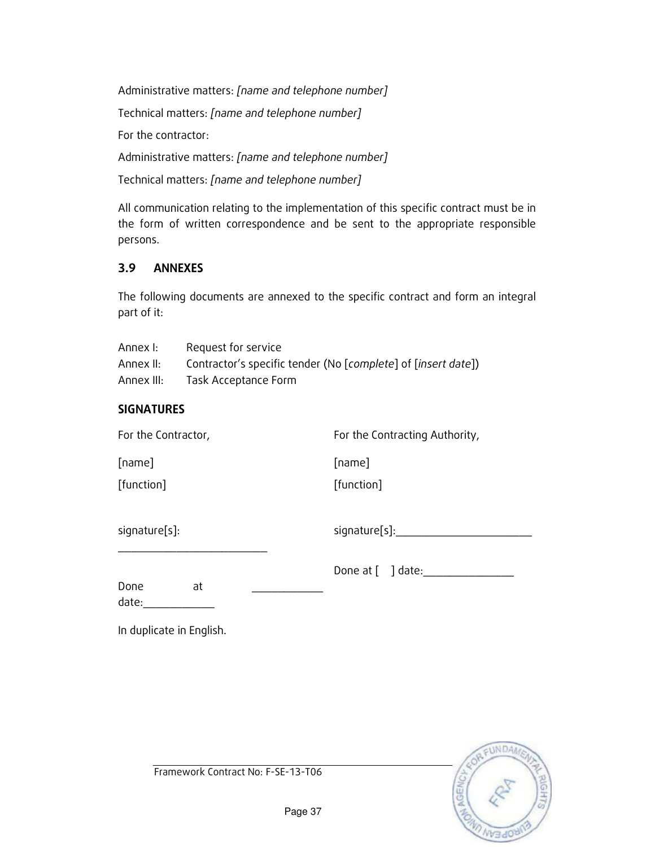Administrative matters: [name and telephone number] Technical matters: [name and telephone number] For the contractor: Administrative matters: [name and telephone number] Technical matters: [name and telephone number]

All communication relating to the implementation of this specific contract must be in the form of written correspondence and be sent to the appropriate responsible persons.

### 3.9 ANNEXES

The following documents are annexed to the specific contract and form an integral part of it:

| Annex I:   | Request for service                                           |
|------------|---------------------------------------------------------------|
| Annex II:  | Contractor's specific tender (No [complete] of [insert date]) |
| Annex III: | Task Acceptance Form                                          |

#### **SIGNATURES**

For the Contractor, For the Contracting Authority,

[name]

[function]

[name]

[function]

signature[s]:

signature[s]:\_\_\_\_\_\_\_\_\_\_\_\_\_\_\_\_\_\_\_\_\_

Done at  $\lceil \quad \rceil$  date:

Done at

\_\_\_\_\_\_\_\_\_\_\_\_\_\_\_\_\_\_\_\_\_\_\_

date:

In duplicate in English.

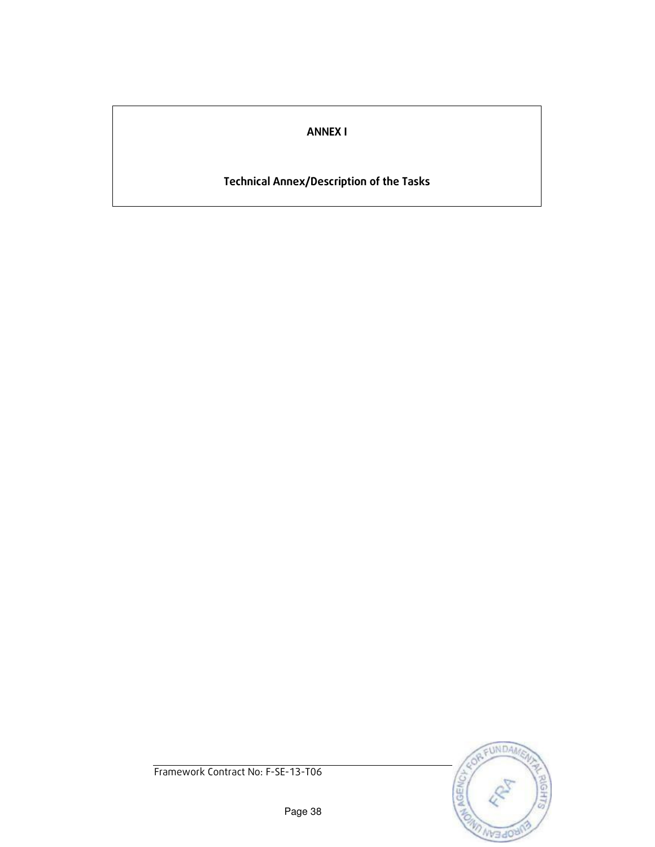### ANNEX I

# Technical Annex/Description of the Tasks

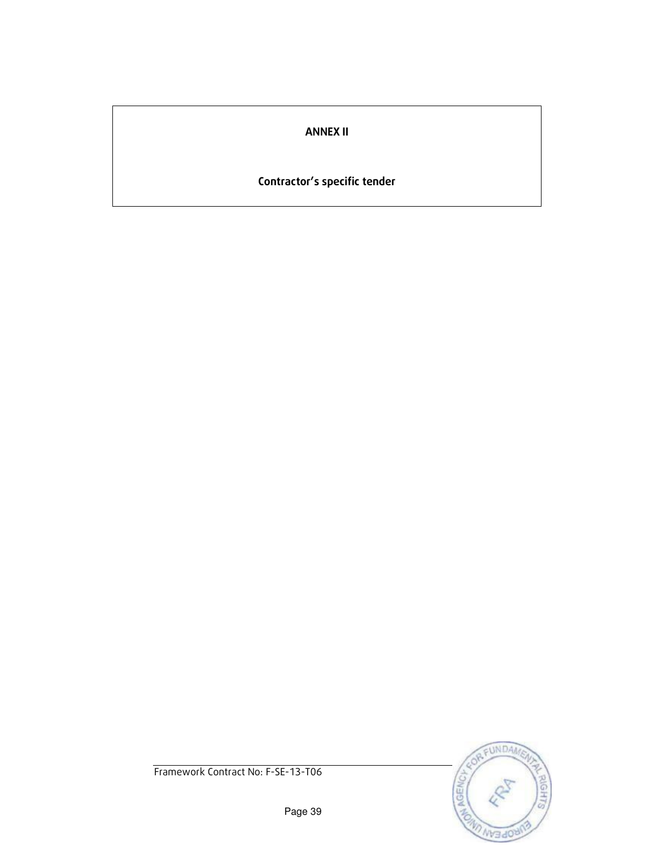### ANNEX II

# Contractor's specific tender

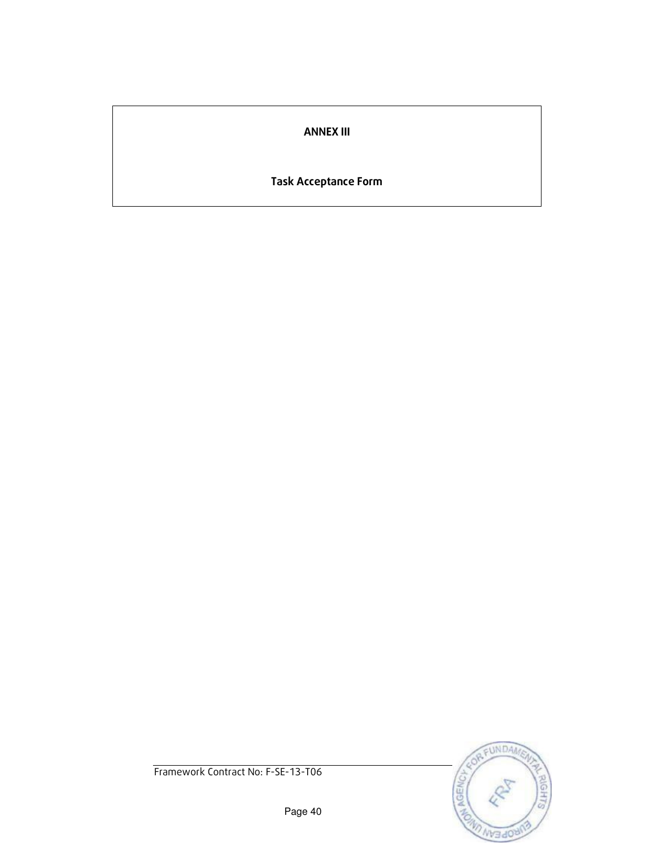### ANNEX III

### Task Acceptance Form

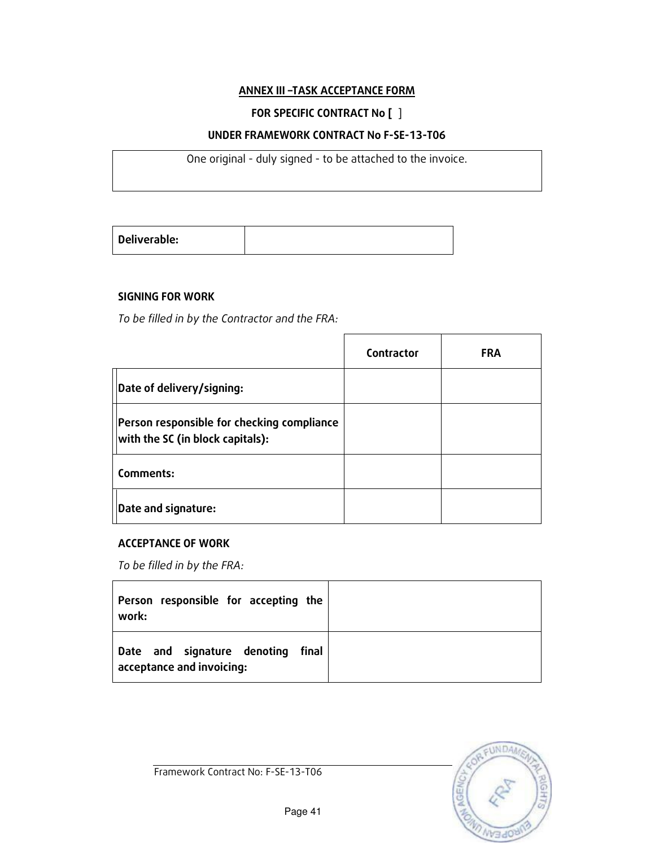#### ANNEX III –TASK ACCEPTANCE FORM

#### FOR SPECIFIC CONTRACT No [ ]

#### UNDER FRAMEWORK CONTRACT No F-SE-13-T06

One original - duly signed - to be attached to the invoice.

|--|

#### SIGNING FOR WORK

To be filled in by the Contractor and the FRA:

|                                                                                | Contractor | <b>FRA</b> |
|--------------------------------------------------------------------------------|------------|------------|
| Date of delivery/signing:                                                      |            |            |
| Person responsible for checking compliance<br>with the SC (in block capitals): |            |            |
| Comments:                                                                      |            |            |
| Date and signature:                                                            |            |            |

#### ACCEPTANCE OF WORK

To be filled in by the FRA:

| Person responsible for accepting the<br>work:                  |  |
|----------------------------------------------------------------|--|
| Date and signature denoting final<br>acceptance and invoicing: |  |

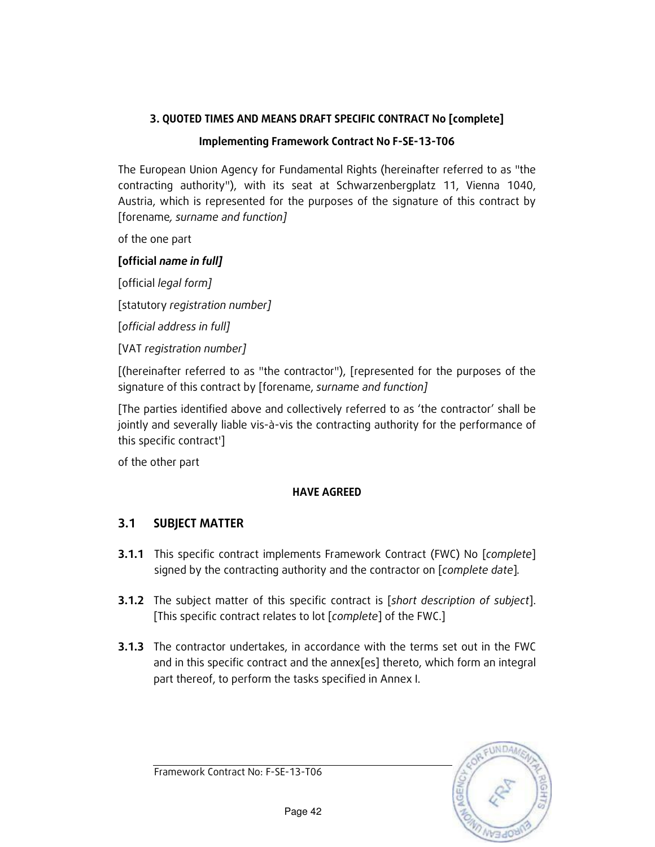### 3. QUOTED TIMES AND MEANS DRAFT SPECIFIC CONTRACT No [complete]

#### Implementing Framework Contract No F-SE-13-T06

The European Union Agency for Fundamental Rights (hereinafter referred to as "the contracting authority"), with its seat at Schwarzenbergplatz 11, Vienna 1040, Austria, which is represented for the purposes of the signature of this contract by [forename, surname and function]

of the one part

#### [official name in full]

[official legal form]

[statutory registration number]

[official address in full]

[VAT registration number]

[(hereinafter referred to as "the contractor"), [represented for the purposes of the signature of this contract by [forename, surname and function]

[The parties identified above and collectively referred to as 'the contractor' shall be jointly and severally liable vis-à-vis the contracting authority for the performance of this specific contract']

of the other part

#### HAVE AGREED

### 3.1 SUBJECT MATTER

- **3.1.1** This specific contract implements Framework Contract (FWC) No [complete] signed by the contracting authority and the contractor on [complete date].
- **3.1.2** The subject matter of this specific contract is [short description of subject]. [This specific contract relates to lot [complete] of the FWC.]
- **3.1.3** The contractor undertakes, in accordance with the terms set out in the FWC and in this specific contract and the annex[es] thereto, which form an integral part thereof, to perform the tasks specified in Annex I.

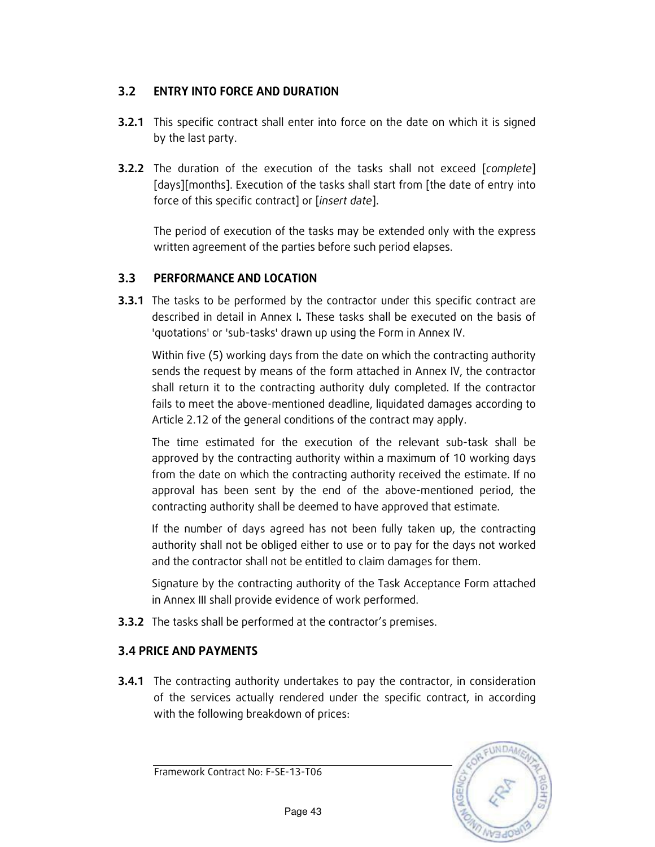### 3.2 ENTRY INTO FORCE AND DURATION

- **3.2.1** This specific contract shall enter into force on the date on which it is signed by the last party.
- **3.2.2** The duration of the execution of the tasks shall not exceed [complete] [days][months]. Execution of the tasks shall start from [the date of entry into force of this specific contract] or [insert date].

The period of execution of the tasks may be extended only with the express written agreement of the parties before such period elapses.

### 3.3 PERFORMANCE AND LOCATION

**3.3.1** The tasks to be performed by the contractor under this specific contract are described in detail in Annex I. These tasks shall be executed on the basis of 'quotations' or 'sub-tasks' drawn up using the Form in Annex IV.

Within five (5) working days from the date on which the contracting authority sends the request by means of the form attached in Annex IV, the contractor shall return it to the contracting authority duly completed. If the contractor fails to meet the above-mentioned deadline, liquidated damages according to Article 2.12 of the general conditions of the contract may apply.

 The time estimated for the execution of the relevant sub-task shall be approved by the contracting authority within a maximum of 10 working days from the date on which the contracting authority received the estimate. If no approval has been sent by the end of the above-mentioned period, the contracting authority shall be deemed to have approved that estimate.

If the number of days agreed has not been fully taken up, the contracting authority shall not be obliged either to use or to pay for the days not worked and the contractor shall not be entitled to claim damages for them.

Signature by the contracting authority of the Task Acceptance Form attached in Annex III shall provide evidence of work performed.

**3.3.2** The tasks shall be performed at the contractor's premises.

### 3.4 PRICE AND PAYMENTS

**3.4.1** The contracting authority undertakes to pay the contractor, in consideration of the services actually rendered under the specific contract, in according with the following breakdown of prices:



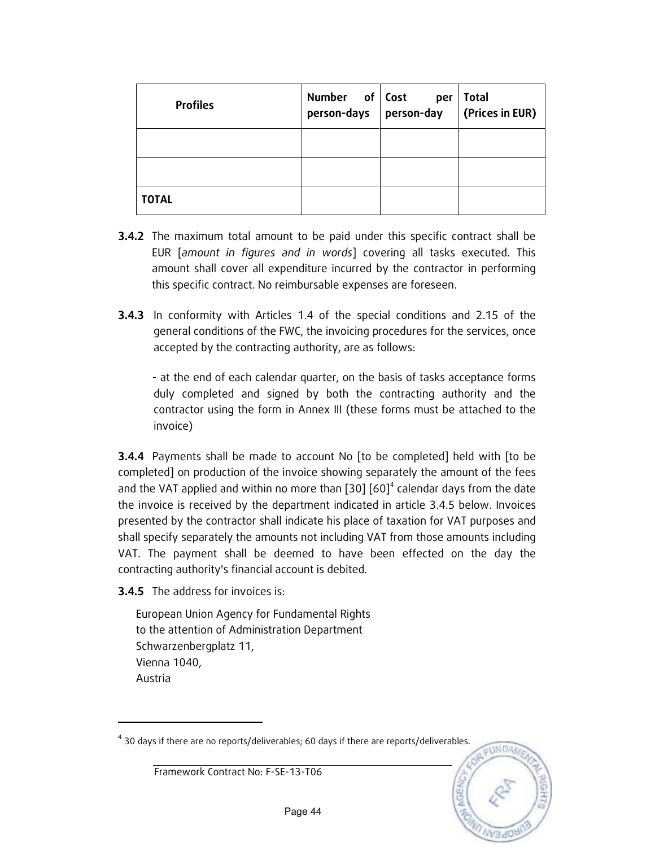| <b>Profiles</b> | Number of Cost<br>person-days person-day | per | <b>Total</b><br>(Prices in EUR) |
|-----------------|------------------------------------------|-----|---------------------------------|
|                 |                                          |     |                                 |
|                 |                                          |     |                                 |
| <b>TOTAL</b>    |                                          |     |                                 |

- **3.4.2** The maximum total amount to be paid under this specific contract shall be EUR [amount in figures and in words] covering all tasks executed. This amount shall cover all expenditure incurred by the contractor in performing this specific contract. No reimbursable expenses are foreseen.
- **3.4.3** In conformity with Articles 1.4 of the special conditions and 2.15 of the general conditions of the FWC, the invoicing procedures for the services, once accepted by the contracting authority, are as follows:

- at the end of each calendar quarter, on the basis of tasks acceptance forms duly completed and signed by both the contracting authority and the contractor using the form in Annex III (these forms must be attached to the invoice)

**3.4.4** Payments shall be made to account No [to be completed] held with [to be completed] on production of the invoice showing separately the amount of the fees and the VAT applied and within no more than  $[30] [60]^4$  calendar days from the date the invoice is received by the department indicated in article 3.4.5 below. Invoices presented by the contractor shall indicate his place of taxation for VAT purposes and shall specify separately the amounts not including VAT from those amounts including VAT. The payment shall be deemed to have been effected on the day the contracting authority's financial account is debited.

**3.4.5** The address for invoices is:

-

European Union Agency for Fundamental Rights to the attention of Administration Department Schwarzenbergplatz 11, Vienna 1040, Austria

 $^4$  30 days if there are no reports/deliverables; 60 days if there are reports/deliverables.

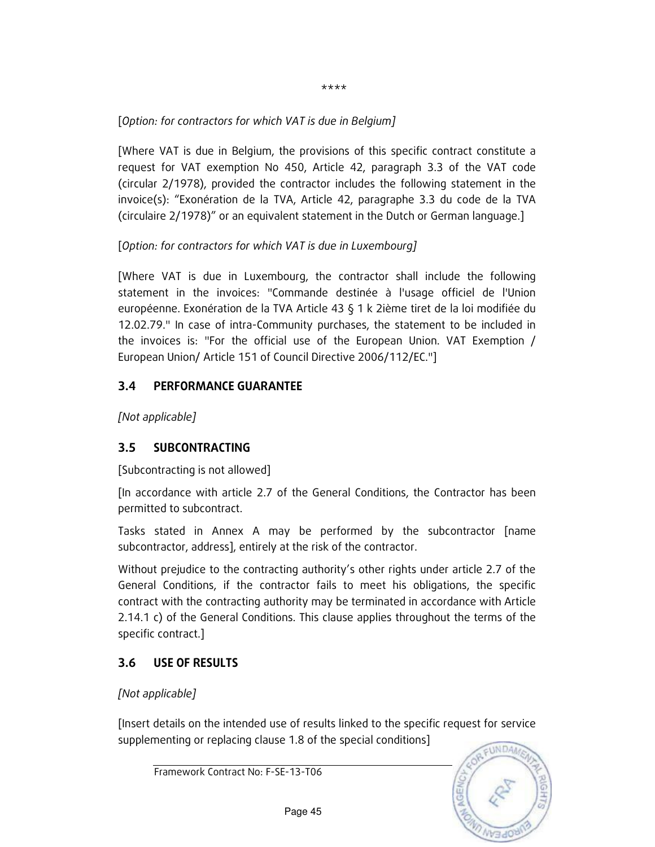\*\*\*\*

### [Option: for contractors for which VAT is due in Belgium]

[Where VAT is due in Belgium, the provisions of this specific contract constitute a request for VAT exemption No 450, Article 42, paragraph 3.3 of the VAT code (circular 2/1978), provided the contractor includes the following statement in the invoice(s): "Exonération de la TVA, Article 42, paragraphe 3.3 du code de la TVA (circulaire 2/1978)" or an equivalent statement in the Dutch or German language.]

### [Option: for contractors for which VAT is due in Luxembourg]

[Where VAT is due in Luxembourg, the contractor shall include the following statement in the invoices: "Commande destinée à l'usage officiel de l'Union européenne. Exonération de la TVA Article 43 § 1 k 2ième tiret de la loi modifiée du 12.02.79." In case of intra-Community purchases, the statement to be included in the invoices is: "For the official use of the European Union. VAT Exemption / European Union/ Article 151 of Council Directive 2006/112/EC."]

### 3.4 PERFORMANCE GUARANTEE

[Not applicable]

### 3.5 SUBCONTRACTING

[Subcontracting is not allowed]

[In accordance with article 2.7 of the General Conditions, the Contractor has been permitted to subcontract.

Tasks stated in Annex A may be performed by the subcontractor [name subcontractor, address], entirely at the risk of the contractor.

Without prejudice to the contracting authority's other rights under article 2.7 of the General Conditions, if the contractor fails to meet his obligations, the specific contract with the contracting authority may be terminated in accordance with Article 2.14.1 c) of the General Conditions. This clause applies throughout the terms of the specific contract.]

## 3.6 USE OF RESULTS

[Not applicable]

[Insert details on the intended use of results linked to the specific request for service supplementing or replacing clause 1.8 of the special conditions]

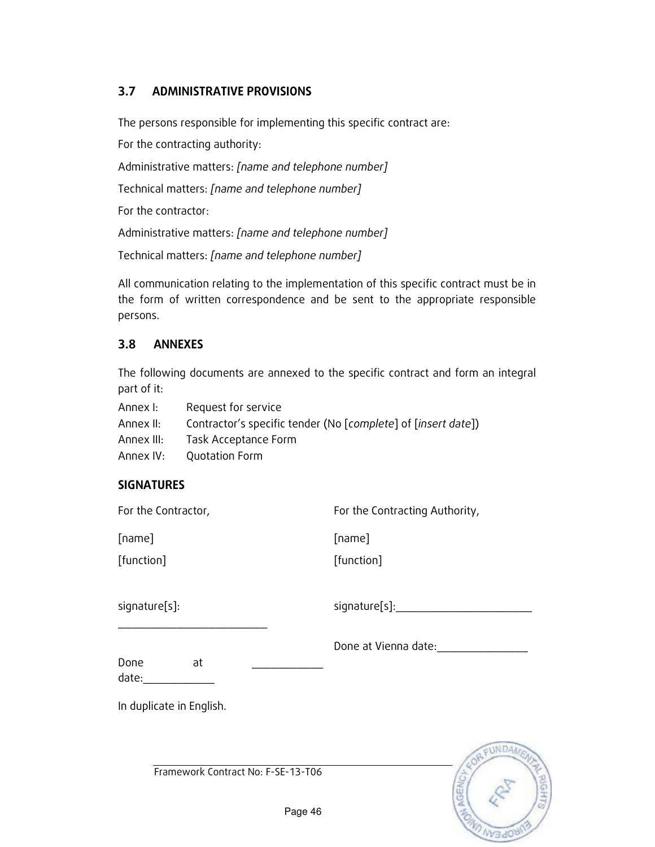### 3.7 ADMINISTRATIVE PROVISIONS

The persons responsible for implementing this specific contract are:

For the contracting authority:

Administrative matters: [name and telephone number]

Technical matters: [name and telephone number]

For the contractor:

Administrative matters: [name and telephone number]

Technical matters: [name and telephone number]

All communication relating to the implementation of this specific contract must be in the form of written correspondence and be sent to the appropriate responsible persons.

### 3.8 ANNEXES

The following documents are annexed to the specific contract and form an integral part of it:

- Annex I: Request for service
- Annex II: Contractor's specific tender (No [complete] of [insert date])

Annex III: Task Acceptance Form

Annex IV: Quotation Form

### **SIGNATURES**

| For the Contractor,                | For the Contracting Authority,  |
|------------------------------------|---------------------------------|
| [name]                             | [name]                          |
| [function]                         | [function]                      |
| signature[s]:                      | signature[s]:__________________ |
| Done<br>at<br>date:                | Done at Vienna date:            |
| In duplicate in English.           |                                 |
|                                    | <b>UNDA</b>                     |
| Framework Contract No: F-SE-13-T06 | C)                              |

**AD INVENDED**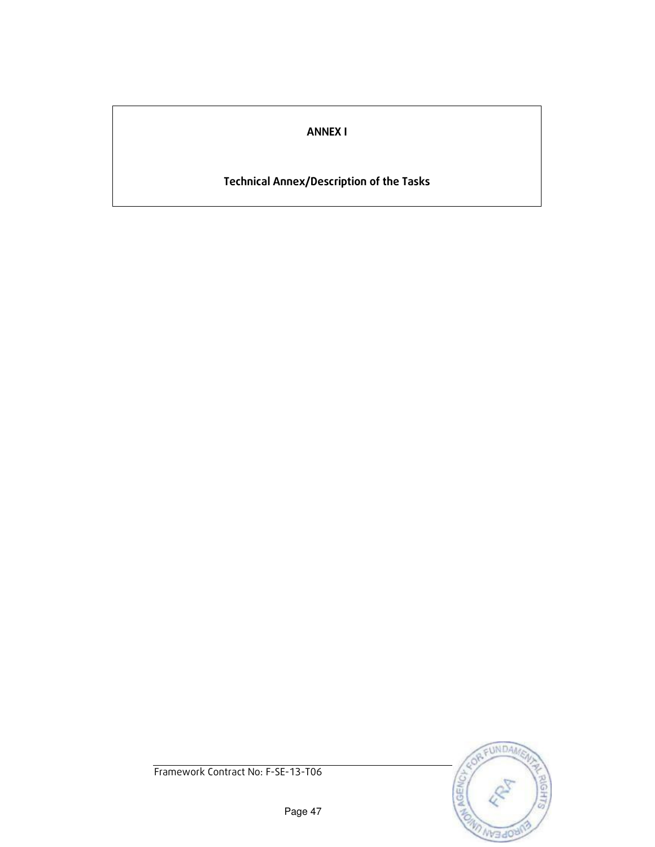### ANNEX I

# Technical Annex/Description of the Tasks

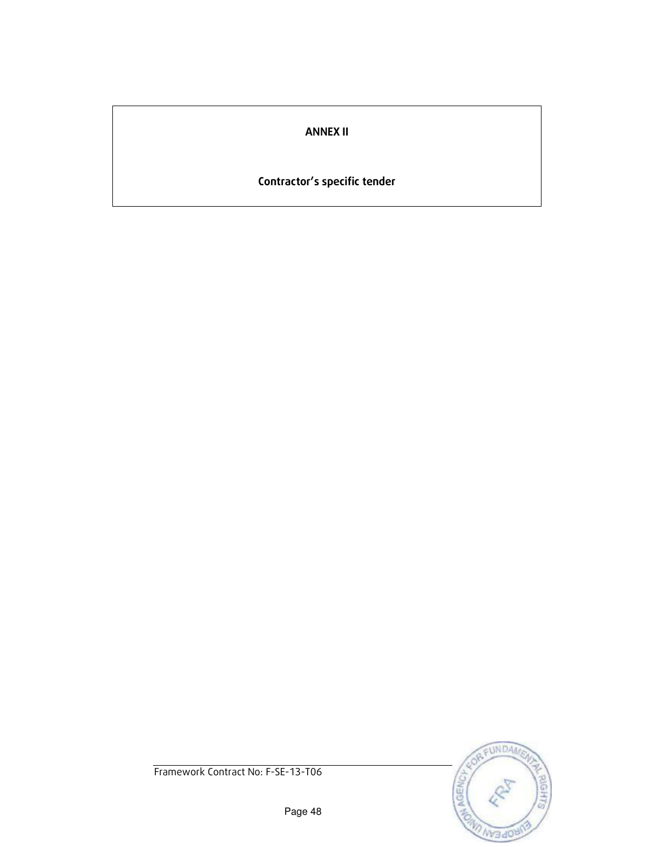### ANNEX II

# Contractor's specific tender

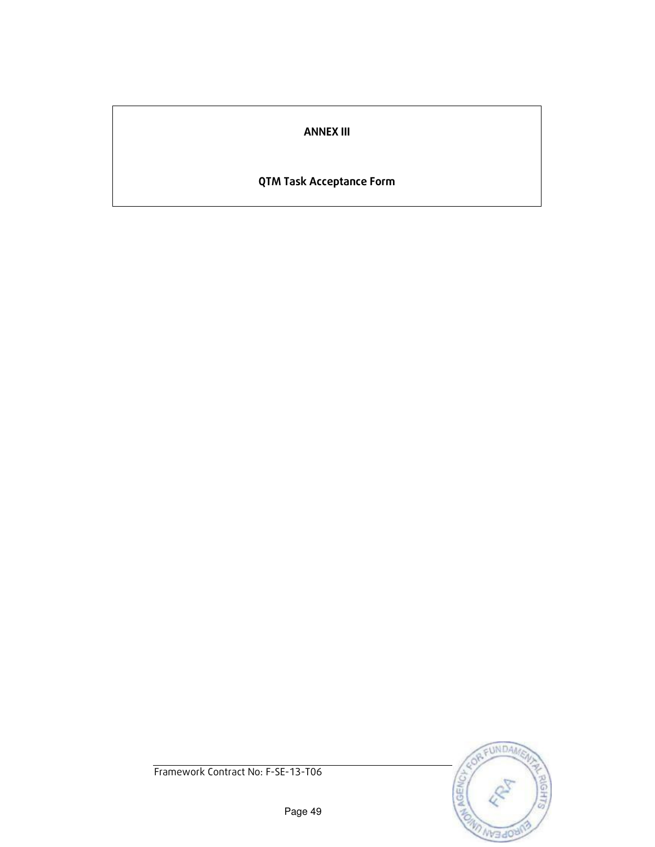### ANNEX III

### QTM Task Acceptance Form

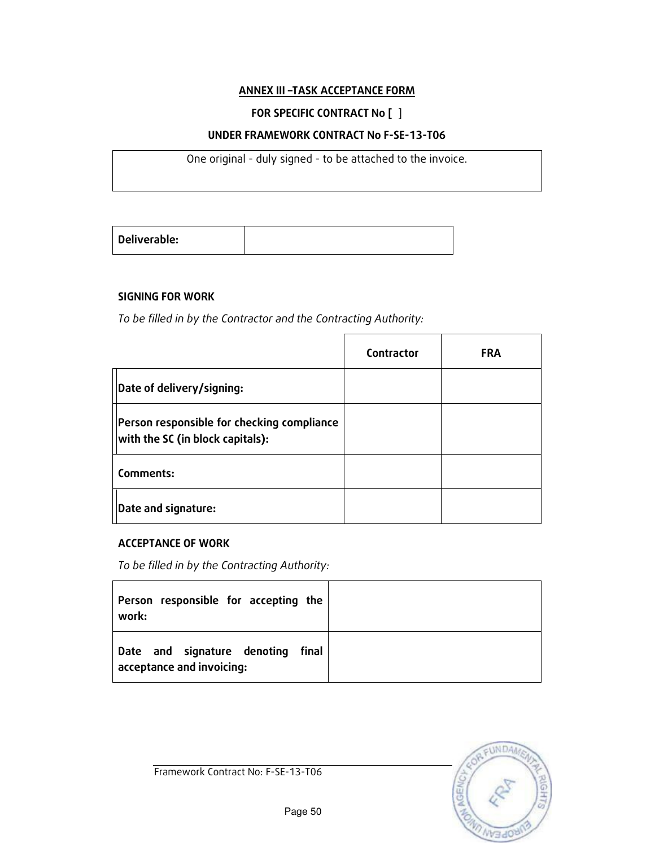#### ANNEX III –TASK ACCEPTANCE FORM

### FOR SPECIFIC CONTRACT No [ ]

#### UNDER FRAMEWORK CONTRACT No F-SE-13-T06

One original - duly signed - to be attached to the invoice.

|--|

#### SIGNING FOR WORK

To be filled in by the Contractor and the Contracting Authority:

|                                                                                | Contractor | <b>FRA</b> |
|--------------------------------------------------------------------------------|------------|------------|
| Date of delivery/signing:                                                      |            |            |
| Person responsible for checking compliance<br>with the SC (in block capitals): |            |            |
| Comments:                                                                      |            |            |
| Date and signature:                                                            |            |            |

#### ACCEPTANCE OF WORK

To be filled in by the Contracting Authority:

| Person responsible for accepting the<br>work:                     |  |
|-------------------------------------------------------------------|--|
| Date and signature denoting<br>final<br>acceptance and invoicing: |  |

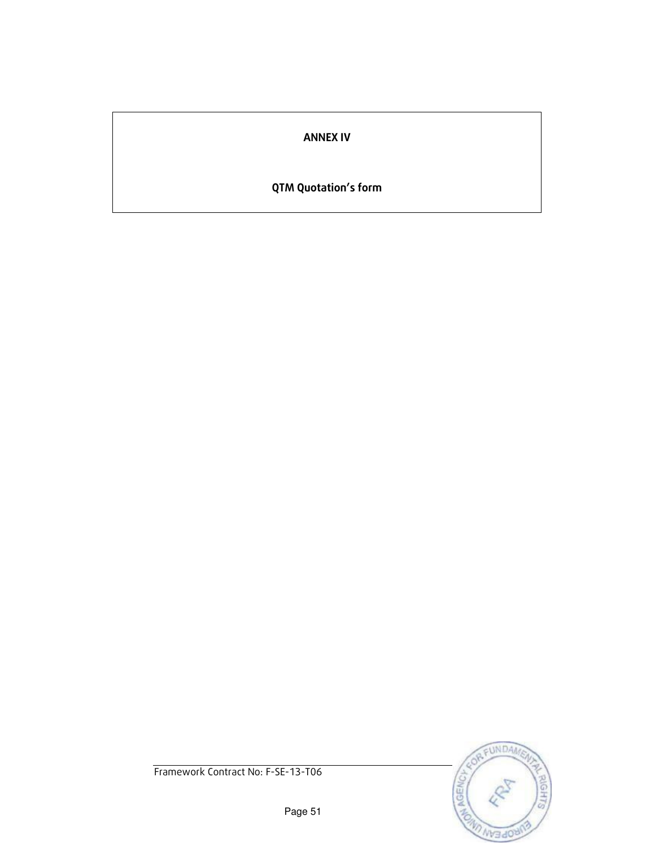### ANNEX IV

# QTM Quotation's form

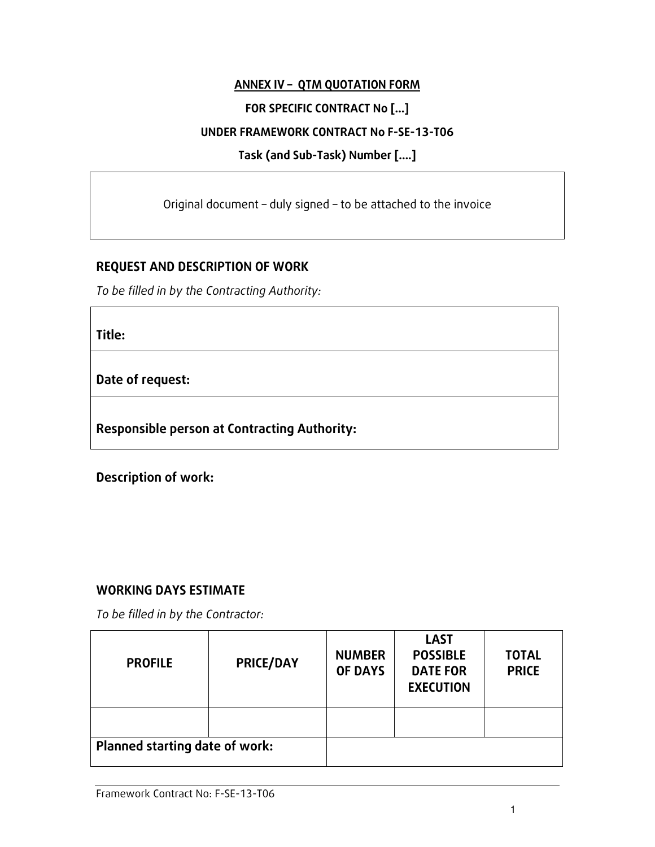### ANNEX IV – QTM QUOTATION FORM

### FOR SPECIFIC CONTRACT No […]

### UNDER FRAMEWORK CONTRACT No F-SE-13-T06

### Task (and Sub-Task) Number [….]

Original document – duly signed – to be attached to the invoice

### REQUEST AND DESCRIPTION OF WORK

To be filled in by the Contracting Authority:

Title:

Date of request:

Responsible person at Contracting Authority:

Description of work:

### WORKING DAYS ESTIMATE

To be filled in by the Contractor:

| <b>PROFILE</b>                 | <b>PRICE/DAY</b> | <b>NUMBER</b><br><b>OF DAYS</b> | <b>LAST</b><br><b>POSSIBLE</b><br><b>DATE FOR</b><br><b>EXECUTION</b> | <b>TOTAL</b><br><b>PRICE</b> |
|--------------------------------|------------------|---------------------------------|-----------------------------------------------------------------------|------------------------------|
|                                |                  |                                 |                                                                       |                              |
| Planned starting date of work: |                  |                                 |                                                                       |                              |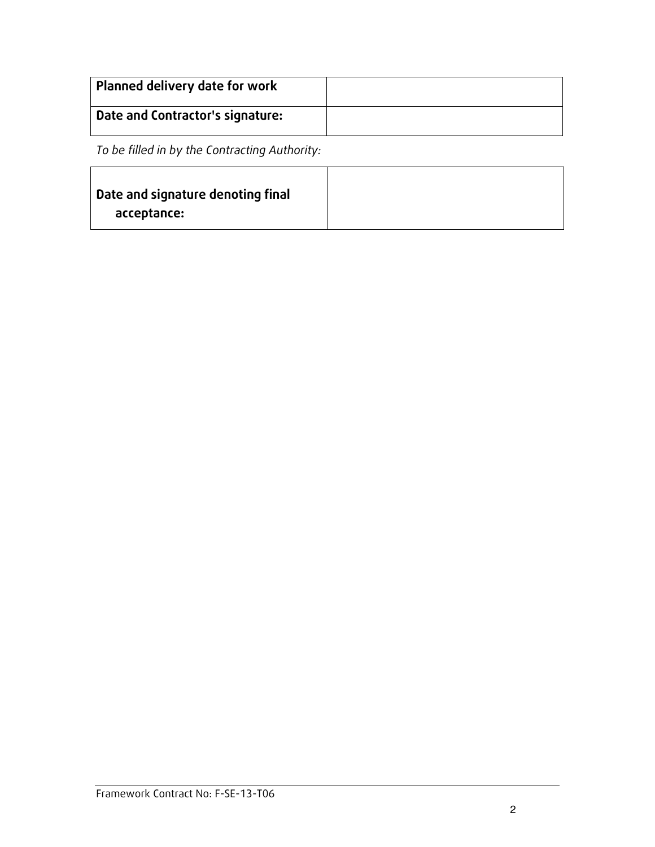| Planned delivery date for work   |  |
|----------------------------------|--|
| Date and Contractor's signature: |  |

To be filled in by the Contracting Authority:

| Date and signature denoting final |
|-----------------------------------|
| acceptance:                       |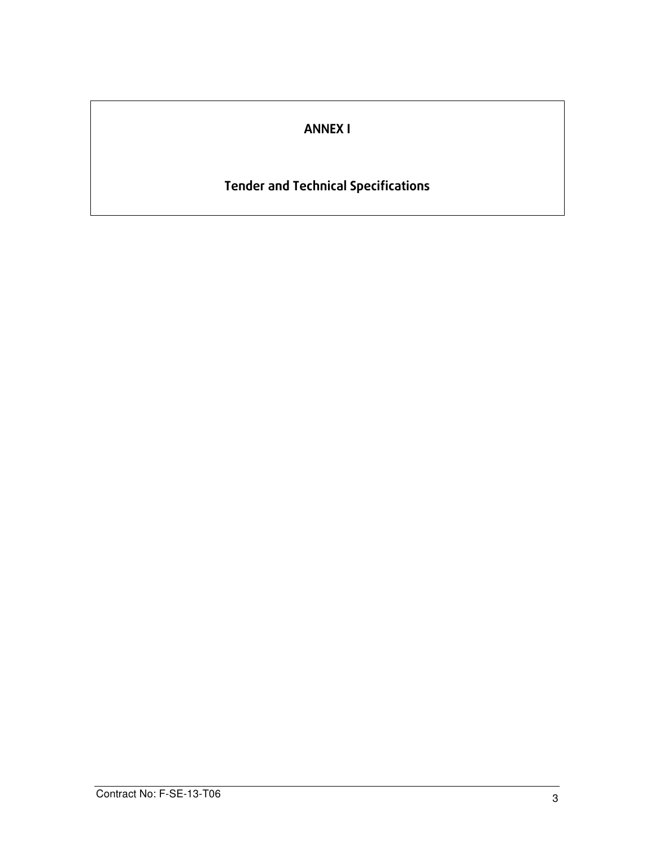# ANNEX I

# Tender and Technical Specifications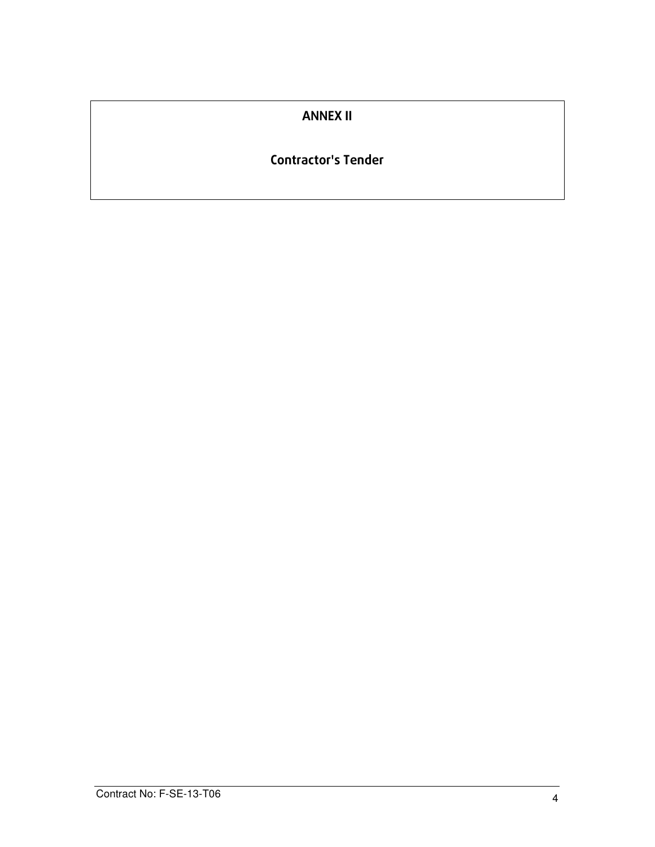### ANNEX II

### Contractor's Tender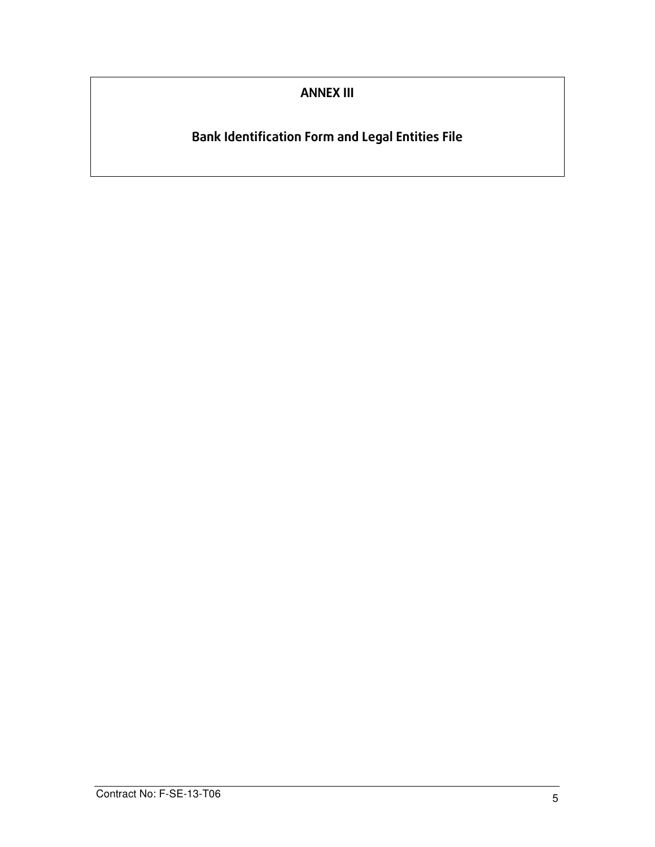# ANNEX III

# Bank Identification Form and Legal Entities File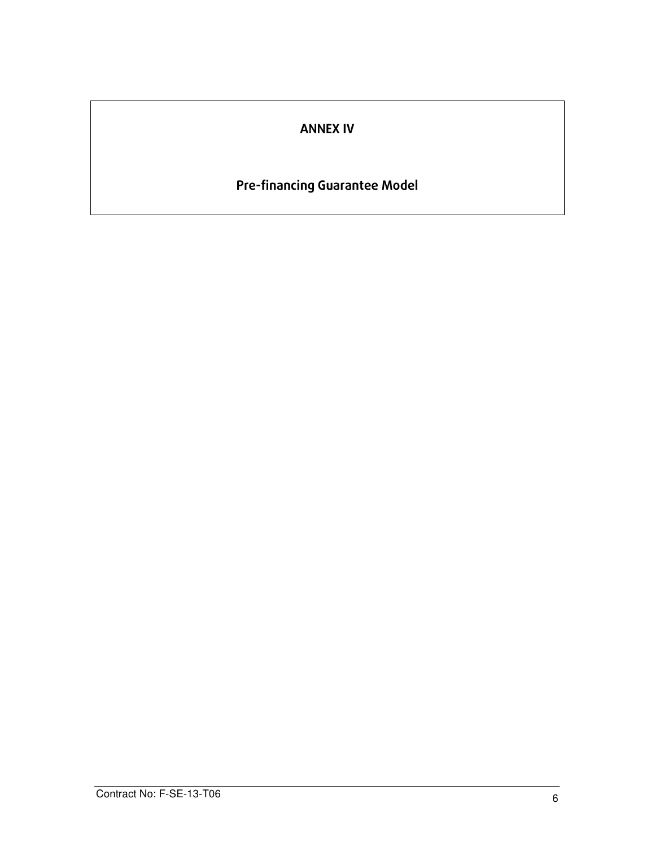## ANNEX IV

# Pre-financing Guarantee Model